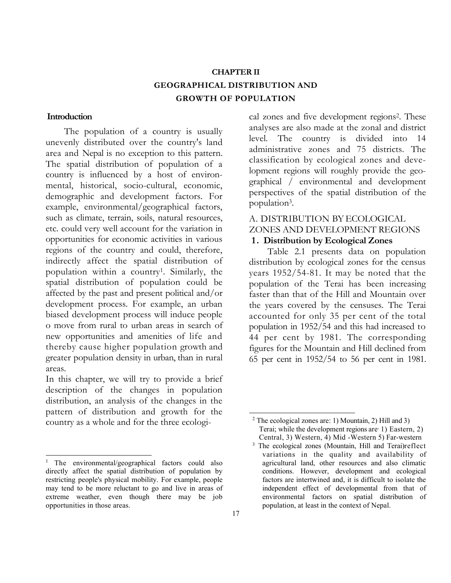# CHAPTER II GEOGRAPHICAL DISTRIBUTION AND GROWTH OF POPULATION

#### **Introduction**

The population of a country is usually unevenly distributed over the country's land area and Nepal is no exception to this pattern. The spatial distribution of population of a country is influenced by a host of environmental, historical, socio-cultural, economic, demographic and development factors. For example, environmental/geographical factors, such as climate, terrain, soils, natural resources, etc. could very well account for the variation in opportunities for economic activities in various regions of the country and could, therefore, indirectly affect the spatial distribution of population within a country<sup>1</sup> . Similarly, the spatial distribution of population could be affected by the past and present political and/or development process. For example, an urban biased development process will induce people o move from rural to urban areas in search of new opportunities and amenities of life and thereby cause higher population growth and greater population density in urban, than in rural areas.

In this chapter, we will try to provide a brief description of the changes in population distribution, an analysis of the changes in the pattern of distribution and growth for the country as a whole and for the three ecologi-

cal zones and five development regions<sup>2</sup> . These analyses are also made at the zonal and district level. The country is divided into 14 administrative zones and 75 districts. The classification by ecological zones and development regions will roughly provide the geographical / environmental and development perspectives of the spatial distribution of the population<sup>3</sup> .

# A. DISTRIBUTION BY ECOLOGICAL ZONES AND DEVELOPMENT REGIONS

# 1. Distribution by Ecological Zones

Table 2.1 presents data on population distribution by ecological zones for the census years 1952/54-81. It may be noted that the population of the Terai has been increasing faster than that of the Hill and Mountain over the years covered by the censuses. The Terai accounted for only 35 per cent of the total population in 1952/54 and this had increased to 44 per cent by 1981. The corresponding figures for the Mountain and Hill declined from 65 per cent in 1952/54 to 56 per cent in 1981.

<sup>&</sup>lt;sup>1</sup> The environmental/geographical factors could also directly affect the spatial distribution of population by restricting people's physical mobility. For example, people may tend to be more reluctant to go and live in areas of extreme weather, even though there may be job opportunities in those areas.

<sup>2</sup> The ecological zones are: 1) Mountain, 2) Hill and 3) Terai; while the development regions are 1) Eastern, 2) Central, 3) Western, 4) Mid -Western 5) Far-western

<sup>&</sup>lt;sup>3</sup> The ecological zones (Mountain, Hill and Terai)reflect variations in the quality and availability of agricultural land, other resources and also climatic conditions. However, development and ecological factors are intertwined and, it is difficult to isolate the independent effect of developmental from that of environmental factors on spatial distribution of population, at least in the context of Nepal.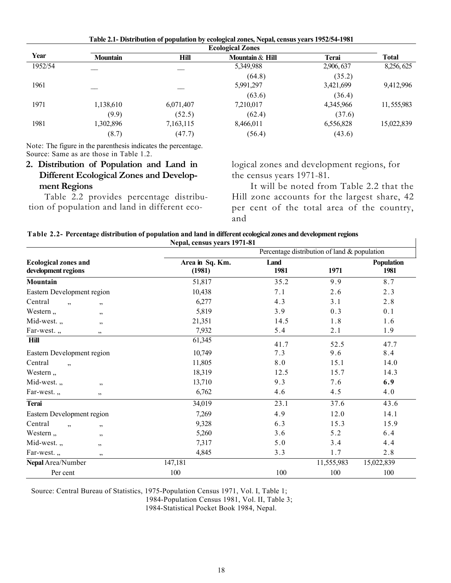|         |                 |             | <b>Ecological Zones</b> |           |              |
|---------|-----------------|-------------|-------------------------|-----------|--------------|
| Year    | <b>Mountain</b> | <b>Hill</b> | Mountain & Hill         | Terai     | <b>Total</b> |
| 1952/54 |                 |             | 5,349,988               | 2,906,637 | 8,256,625    |
|         |                 |             | (64.8)                  | (35.2)    |              |
| 1961    |                 |             | 5,991,297               | 3,421,699 | 9,412,996    |
|         |                 |             | (63.6)                  | (36.4)    |              |
| 1971    | 1,138,610       | 6,071,407   | 7,210,017               | 4,345,966 | 11,555,983   |
|         | (9.9)           | (52.5)      | (62.4)                  | (37.6)    |              |
| 1981    | 1,302,896       | 7,163,115   | 8,466,011               | 6,556,828 | 15,022,839   |
|         | (8.7)           | (47.7)      | (56.4)                  | (43.6)    |              |

Table 2.1- Distribution of population by ecological zones, Nepal, census years 1952/54-1981

Note: The figure in the parenthesis indicates the percentage. Source: Same as are those in Table 1.2.

# 2. Distribution of Population and Land in Different Ecological Zones and Development Regions

Table 2.2 provides percentage distribution of population and land in different ecological zones and development regions, for the census years 1971-81.

It will be noted from Table 2.2 that the Hill zone accounts for the largest share, 42 per cent of the total area of the country, and

 $\mathsf{l}$ 

| Table 2.2- Percentage distribution of population and land in different ecological zones and development regions |
|-----------------------------------------------------------------------------------------------------------------|
| Nepal, census years 1971-81                                                                                     |

|                                                    |                           | Percentage distribution of land & population |            |                           |  |  |  |
|----------------------------------------------------|---------------------------|----------------------------------------------|------------|---------------------------|--|--|--|
| <b>Ecological zones and</b><br>development regions | Area in Sq. Km.<br>(1981) | Land<br>1981                                 | 1971       | <b>Population</b><br>1981 |  |  |  |
| Mountain                                           | 51,817                    | 35.2                                         | 9.9        | 8.7                       |  |  |  |
| Eastern Development region                         | 10,438                    | 7.1                                          | 2.6        | 2.3                       |  |  |  |
| Central<br>,<br>, ,                                | 6,277                     | 4.3                                          | 3.1        | 2.8                       |  |  |  |
| Western,<br>, ,                                    | 5,819                     | 3.9                                          | 0.3        | 0.1                       |  |  |  |
| Mid-west.,<br>, ,                                  | 21,351                    | 14.5                                         | 1.8        | 1.6                       |  |  |  |
| Far-west.,<br>,,                                   | 7,932                     | 5.4                                          | 2.1        | 1.9                       |  |  |  |
| Hill                                               | 61,345                    | 41.7                                         | 52.5       | 47.7                      |  |  |  |
| Eastern Development region                         | 10,749                    | 7.3                                          | 9.6        | 8.4                       |  |  |  |
| Central<br>,                                       | 11,805                    | 8.0                                          | 15.1       | 14.0                      |  |  |  |
| Western,                                           | 18,319                    | 12.5                                         | 15.7       | 14.3                      |  |  |  |
| Mid-west.,<br>, ,                                  | 13,710                    | 9.3                                          | 7.6        | 6.9                       |  |  |  |
| Far-west.,<br>, ,                                  | 6,762                     | 4.6                                          | 4.5        | 4.0                       |  |  |  |
| <b>Terai</b>                                       | 34,019                    | 23.1                                         | 37.6       | 43.6                      |  |  |  |
| Eastern Development region                         | 7,269                     | 4.9                                          | 12.0       | 14.1                      |  |  |  |
| Central<br>,<br>,,                                 | 9,328                     | 6.3                                          | 15.3       | 15.9                      |  |  |  |
| Western,<br>,,                                     | 5,260                     | 3.6                                          | 5.2        | 6.4                       |  |  |  |
| Mid-west.,<br>, ,                                  | 7,317                     | 5.0                                          | 3.4        | 4.4                       |  |  |  |
| Far-west.,<br>, ,                                  | 4,845                     | 3.3                                          | 1.7        | 2.8                       |  |  |  |
| Nepal Area/Number                                  | 147,181                   |                                              | 11,555,983 | 15,022,839                |  |  |  |
| Per cent                                           | 100                       | 100                                          | 100        | 100                       |  |  |  |

Source: Central Bureau of Statistics, 1975-Population Census 1971, Vol. I, Table 1;

1984-Population Census 1981, Vol. II, Table 3;

1984-Statistical Pocket Book 1984, Nepal.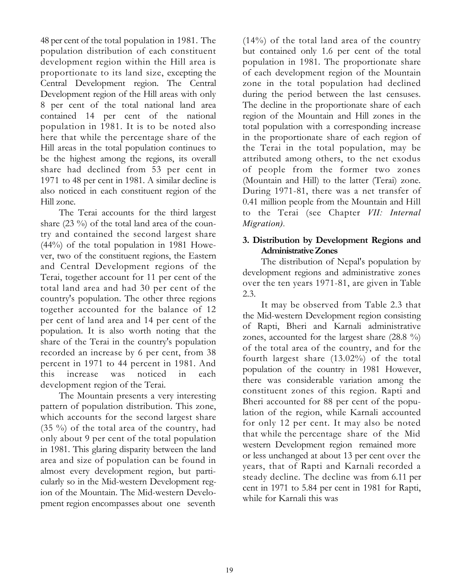48 per cent of the total population in 1981. The population distribution of each constituent development region within the Hill area is proportionate to its land size, excepting the Central Development region. The Central Development region of the Hill areas with only 8 per cent of the total national land area contained 14 per cent of the national population in 1981. It is to be noted also here that while the percentage share of the Hill areas in the total population continues to be the highest among the regions, its overall share had declined from 53 per cent in 1971 to 48 per cent in 1981. A similar decline is also noticed in each constituent region of the Hill zone.

The Terai accounts for the third largest share (23 %) of the total land area of the country and contained the second largest share (44%) of the total population in 1981 However, two of the constituent regions, the Eastern and Central Development regions of the Terai, together account for 11 per cent of the total land area and had 30 per cent of the country's population. The other three regions together accounted for the balance of 12 per cent of land area and 14 per cent of the population. It is also worth noting that the share of the Terai in the country's population recorded an increase by 6 per cent, from 38 percent in 1971 to 44 percent in 1981. And this increase was noticed in each development region of the Terai.

The Mountain presents a very interesting pattern of population distribution. This zone, which accounts for the second largest share (35 %) of the total area of the country, had only about 9 per cent of the total population in 1981. This glaring disparity between the land area and size of population can be found in almost every development region, but particularly so in the Mid-western Development region of the Mountain. The Mid-western Development region encompasses about one seventh

(14%) of the total land area of the country but contained only 1.6 per cent of the total population in 1981. The proportionate share of each development region of the Mountain zone in the total population had declined during the period between the last censuses. The decline in the proportionate share of each region of the Mountain and Hill zones in the total population with a corresponding increase in the proportionate share of each region of the Terai in the total population, may be attributed among others, to the net exodus of people from the former two zones (Mountain and Hill) to the latter (Terai) zone. During 1971-81, there was a net transfer of 0.41 million people from the Mountain and Hill to the Terai (see Chapter VII: Internal Migration).

# 3. Distribution by Development Regions and Administrative Zones

The distribution of Nepal's population by development regions and administrative zones over the ten years 1971-81, are given in Table 2.3.

It may be observed from Table 2.3 that the Mid-western Development region consisting of Rapti, Bheri and Karnali administrative zones, accounted for the largest share (28.8 %) of the total area of the country, and for the fourth largest share (13.02%) of the total population of the country in 1981 However, there was considerable variation among the constituent zones of this region. Rapti and Bheri accounted for 88 per cent of the population of the region, while Karnali accounted for only 12 per cent. It may also be noted that while the percentage share of the Mid western Development region remained more or less unchanged at about 13 per cent over the years, that of Rapti and Karnali recorded a steady decline. The decline was from 6.11 per cent in 1971 to 5.84 per cent in 1981 for Rapti, while for Karnali this was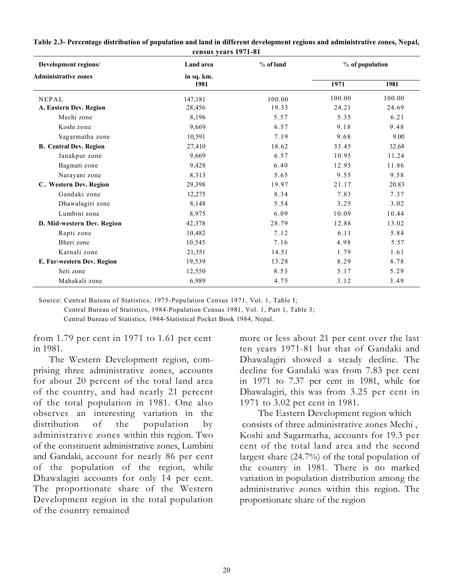| Development regions/          | Land area          | $%$ of land | $%$ of population |        |
|-------------------------------|--------------------|-------------|-------------------|--------|
| <b>Administrative zones</b>   | in sq. km.<br>1981 |             | 1971              | 1981   |
| NEPAL                         | 147,181            | 100.00      | 100.00            | 100.00 |
| A. Eastern Dev. Region        | 28,456             | 19.33       | 24.21             | 24.69  |
| Mechi zone                    | 8,196              | 5.57        | 5.35              | 6.21   |
| Koshi zone                    | 9,669              | 6.57        | 9.18              | 9.48   |
| Sagarmatha zone               | 10,591<br>7.19     |             | 9.68              | 9.00   |
| <b>B.</b> Central Dev. Region | 27,410             | 18.62       | 33.45             | 32.68  |
| Janakpur zone                 | 9,669              | 6.57        | 10.95             | 11.24  |
| Bagmati zone                  | 9,428              | 6.40        | 12.95             | 11.86  |
| Narayani zone                 | 8,313              | 5.65        | 9.55              | 9.58   |
| C. Western Dev. Region        | 29,398             | 19.97       | 21.17             | 20.83  |
| Gandaki zone                  | 12,275             | 8.34        | 7.83              | 7.37   |
| Dhawalagiri zone              | 8,148              | 5.54        | 3.25              | 3.02   |
| Lumbini zone                  | 8,975              | 6.09        | 10.09             | 10.44  |
| D. Mid-western Dev. Region    | 42,378             | 28.79       | 12.88             | 13.02  |
| Rapti zone                    | 10,482             | 7.12        | 6.11              | 5.84   |
| Bheri zone                    | 10,545             | 7.16        | 4.98              | 5.57   |
| Karnali zone                  | 21,351             | 14.51       | 1.79              | 1.61   |
| E. Far-western Dev. Region    | 19,539             | 13.28       | 8.29              | 8.78   |
| Seti zone                     | 12,550             | 8.53        | 5.17              | 5.29   |
| Mahakali zone                 | 6,989              | 4.75        | 3.12              | 3.49   |

#### Table 2.3- Percentage distribution of population and land in different development regions and administrative zones, Nepal, census years 1971-81

Source: Central Bureau of Statistics, 1975-Population Census 1971, Vol. 1, Table I; Central Bureau of Statistics, 1984-Population Census 1981, Vol. 1, Part 1, Table 3; Central Bureau of Statistics, 1984-Statistical Pocket Book 1984, Nepal.

from 1.79 per cent in 1971 to 1.61 per cent in 1981.

The Western Development region, comprising three administrative zones, accounts for about 20 percent of the total land area of the country, and had nearly 21 percent of the total population in 1981. One also observes an interesting variation in the distribution of the population by administrative zones within this region. Two of the constituent administrative zones, Lumbini and Gandaki, account for nearly 86 per cent of the population of the region, while Dhawalagiri accounts for only 14 per cent. The proportionate share of the Western Development region in the total population of the country remained

more or less about 21 per cent over the last ten years 1971-81 but that of Gandaki and Dhawalagiri showed a steady decline. The decline for Gandaki was from 7.83 per cent in 1971 to 7.37 per cent in 1981, while for Dhawalagiri, this was from 3.25 per cent in 1971 to 3.02 pet cent in 1981.

The Eastern Development region which consists of three administrative zones Mechi , Koshi and Sagarmatha, accounts for 19.3 per cent of the total land area and the second largest share (24.7%) of the total population of the country in 1981. There is no marked variation in population distribution among the administrative zones within this region. The proportionate share of the region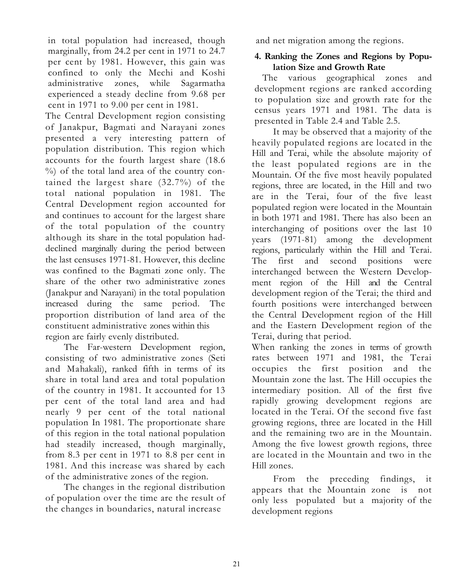in total population had increased, though marginally, from 24.2 per cent in 1971 to 24.7 per cent by 1981. However, this gain was confined to only the Mechi and Koshi administrative zones, while Sagarmatha experienced a steady decline from 9.68 per cent in 1971 to 9.00 per cent in 1981.

The Central Development region consisting of Janakpur, Bagmati and Narayani zones presented a very interesting pattern of population distribution. This region which accounts for the fourth largest share (18.6 %) of the total land area of the country contained the largest share (32.7%) of the total national population in 1981. The Central Development region accounted for and continues to account for the largest share of the total population of the country although its share in the total population haddeclined marginally during the period between the last censuses 1971-81. However, this decline was confined to the Bagmati zone only. The share of the other two administrative zones (Janakpur and Narayani) in the total population increased during the same period. The proportion distribution of land area of the constituent administrative zones within this region are fairly evenly distributed.

The Far-western Development region, consisting of two administrative zones (Seti and Mahakali), ranked fifth in terms of its share in total land area and total population of the country in 1981. It accounted for 13 per cent of the total land area and had nearly 9 per cent of the total national population In 1981. The proportionate share of this region in the total national population had steadily increased, though marginally, from 8.3 per cent in 1971 to 8.8 per cent in 1981. And this increase was shared by each of the administrative zones of the region.

The changes in the regional distribution of population over the time are the result of the changes in boundaries, natural increase

and net migration among the regions.

# 4. Ranking the Zones and Regions by Population Size and Growth Rate

The various geographical zones and development regions are ranked according to population size and growth rate for the census years 1971 and 1981. The data is presented in Table 2.4 and Table 2.5.

It may be observed that a majority of the heavily populated regions are located in the Hill and Terai, while the absolute majority of the least populated regions are in the Mountain. Of the five most heavily populated regions, three are located, in the Hill and two are in the Terai, four of the five least populated region were located in the Mountain in both 1971 and 1981. There has also been an interchanging of positions over the last 10 years (1971-81) among the development regions, particularly within the Hill and Terai. The first and second positions were interchanged between the Western Development region of the Hill and the Central development region of the Terai; the third and fourth positions were interchanged between the Central Development region of the Hill and the Eastern Development region of the Terai, during that period.

When ranking the zones in terms of growth rates between 1971 and 1981, the Terai occupies the first position and the Mountain zone the last. The Hill occupies the intermediary position. All of the first five rapidly growing development regions are located in the Terai. Of the second five fast growing regions, three are located in the Hill and the remaining two are in the Mountain. Among the five lowest growth regions, three are located in the Mountain and two in the Hill zones.

 From the preceding findings, it appears that the Mountain zone is not only less populated but a majority of the development regions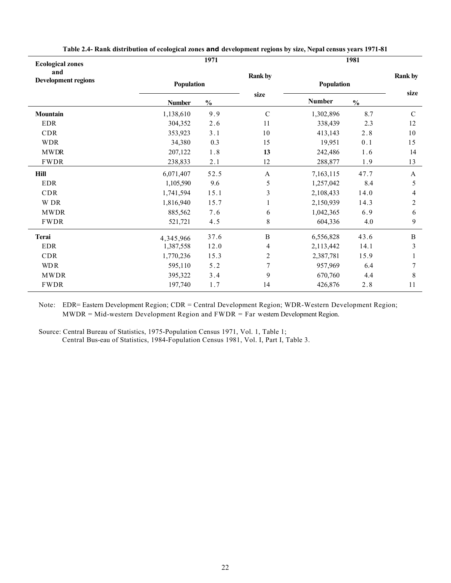|               | 1971          |                           |               |               |                |  |
|---------------|---------------|---------------------------|---------------|---------------|----------------|--|
| Population    |               | <b>Rank by</b>            | Population    |               | <b>Rank by</b> |  |
| <b>Number</b> | $\frac{0}{0}$ | size                      | <b>Number</b> | $\frac{0}{0}$ | size           |  |
| 1,138,610     | 9.9           | ${\bf C}$                 | 1,302,896     | 8.7           | $\mathbf C$    |  |
| 304,352       | 2.6           | 11                        | 338,439       | 2.3           | 12             |  |
| 353,923       | 3.1           | 10                        | 413,143       | 2.8           | 10             |  |
| 34,380        | 0.3           | 15                        | 19,951        | 0.1           | 15             |  |
| 207,122       | $1\,.8$       | 13                        | 242,486       | 1.6           | 14             |  |
| 238,833       | 2.1           | 12                        | 288,877       | 1.9           | 13             |  |
| 6,071,407     | 52.5          | $\boldsymbol{\mathsf{A}}$ | 7,163,115     | 47.7          | $\mathbf{A}$   |  |
| 1,105,590     | 9.6           | 5                         | 1,257,042     | 8.4           | 5              |  |
| 1,741,594     | 15.1          | 3                         | 2,108,433     | 14.0          | 4              |  |
| 1,816,940     | 15.7          | 1                         | 2,150,939     | 14.3          | $\overline{2}$ |  |
| 885,562       | 7.6           | 6                         | 1,042,365     | 6.9           | 6              |  |
| 521,721       | 4.5           | 8                         | 604,336       | 4.0           | 9              |  |
|               | 37.6          | $\, {\bf B}$              | 6,556,828     | 43.6          | $\, {\bf B}$   |  |
| 1,387,558     | 12.0          | 4                         | 2,113,442     | 14.1          | 3              |  |
| 1,770,236     | 15.3          | $\overline{\mathbf{c}}$   | 2,387,781     | 15.9          | $\mathbf{1}$   |  |
| 595,110       | 5.2           | 7                         | 957,969       | 6.4           | 7              |  |
| 395,322       | 3.4           | 9                         | 670,760       | 4.4           | $8\,$          |  |
| 197,740       | 1.7           | 14                        | 426,876       | 2.8           | 11             |  |
|               | 4,345,966     |                           |               |               | 1981           |  |

Table 2.4- Rank distribution of ecological zones and development regions by size, Nepal census years 1971-81

Note: EDR= Eastern Development Region; CDR = Central Development Region; WDR-Western Development Region; MWDR = Mid-western Development Region and FWDR = Far western Development Region.

Source: Central Bureau of Statistics, 1975-Population Census 1971, Vol. 1, Table 1; Central Bus-eau of Statistics, 1984-Fopulation Census 1981, Vol. I, Part I, Table 3.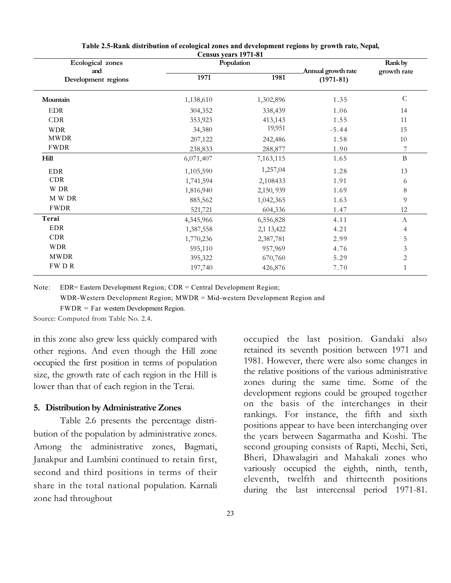| Ecological zones           |           | Population |                                   | Rank by        |
|----------------------------|-----------|------------|-----------------------------------|----------------|
| and<br>Development regions | 1971      | 1981       | Annual growth rate<br>$(1971-81)$ | growth rate    |
| Mountain                   | 1,138,610 | 1,302,896  | 1.35                              | $\mathcal{C}$  |
| $\rm EDR$                  | 304,352   | 338,439    | 1.06                              | 14             |
| <b>CDR</b>                 | 353,923   | 413,143    | 1.55                              | 11             |
| <b>WDR</b>                 | 34,380    | 19,951     | $-5.44$                           | 15             |
| <b>MWDR</b>                | 207,122   | 242,486    | 1.58                              | 10             |
| <b>FWDR</b>                | 238,833   | 288,877    | 1.90                              | $\overline{7}$ |
| Hill                       | 6,071,407 | 7,163,115  | 1.65                              | $\mathbf B$    |
| <b>EDR</b>                 | 1,105,590 | 1,257,04   | 1.28                              | 13             |
| <b>CDR</b>                 | 1,741,594 | 2,108433   | 1.91                              | 6              |
| W DR                       | 1,816,940 | 2,150, 939 | 1.69                              | $\,8\,$        |
| M W DR                     | 885,562   | 1,042,365  | 1.63                              | 9              |
| <b>FWDR</b>                | 521,721   | 604,336    | 1.47                              | 12             |
| Terai                      | 4,345,966 | 6,556,828  | 4.11                              | $\mathbf{A}$   |
| <b>EDR</b>                 | 1,387,558 | 2,1 13,422 | 4.21                              | $\overline{4}$ |
| <b>CDR</b>                 | 1,770,236 | 2,387,781  | 2.99                              | 5              |
| <b>WDR</b>                 | 595,110   | 957,969    | 4.76                              | 3              |
| <b>MWDR</b>                | 395,322   | 670,760    | 5.29                              | $\overline{2}$ |
| FWDR                       | 197,740   | 426,876    | 7.70                              | $\mathbf{1}$   |

Table 2.5-Rank distribution of ecological zones and development regions by growth rate, Nepal, Census years 1971-81

Note: EDR= Eastern Development Region; CDR = Central Development Region;

WDR-Western Development Region; MWDR = Mid-western Development Region and

FWDR = Far western Development Region.

Source: Computed from Table No. 2.4.

in this zone also grew less quickly compared with other regions. And even though the Hill zone occupied the first position in terms of population size, the growth rate of each region in the Hill is lower than that of each region in the Terai.

#### 5. Distribution by Administrative Zones

Table 2.6 presents the percentage distribution of the population by administrative zones. Among the administrative zones, Bagmati, Janakpur and Lumbini continued to retain first, second and third positions in terms of their share in the total national population. Karnali zone had throughout

occupied the last position. Gandaki also retained its seventh position between 1971 and 1981. However, there were also some changes in the relative positions of the various administrative zones during the same time. Some of the development regions could be grouped together on the basis of the interchanges in their rankings. For instance, the fifth and sixth positions appear to have been interchanging over the years between Sagarmatha and Koshi. The second grouping consists of Rapti, Mechi, Seti, Bheri, Dhawalagiri and Mahakali zones who variously occupied the eighth, ninth, tenth, eleventh, twelfth and thirteenth positions during the last intercensal period 1971-81.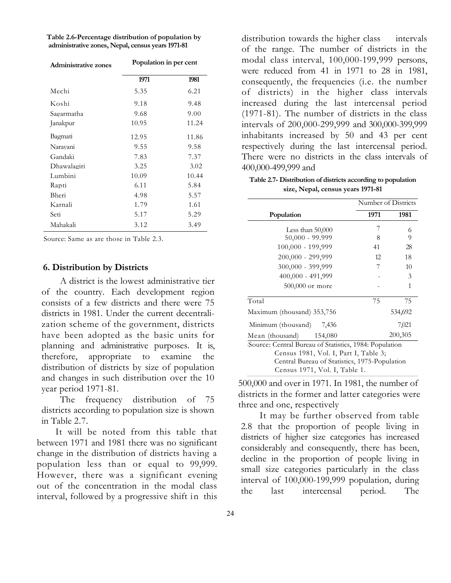Table 2.6-Percentage distribution of population by administrative zones, Nepal, census years 1971-81

| <b>Administrative zones</b> | Population in per cent |       |  |  |
|-----------------------------|------------------------|-------|--|--|
|                             | 1971                   | 1981  |  |  |
| Mechi                       | 5.35                   | 6.21  |  |  |
| Koshi                       | 9.18                   | 9.48  |  |  |
| Sagarmatha                  | 9.68                   | 9.00  |  |  |
| Janakpur                    | 10.95                  | 11.24 |  |  |
| Bagmati                     | 12.95                  | 11.86 |  |  |
| Naravani                    | 9.55                   | 9.58  |  |  |
| Gandaki                     | 7.83                   | 7.37  |  |  |
| Dhawalagiri                 | 3.25                   | 3.02  |  |  |
| Lumbini                     | 10.09                  | 10.44 |  |  |
| Rapti                       | 6.11                   | 5.84  |  |  |
| Bheri                       | 4.98                   | 5.57  |  |  |
| Karnali                     | 1.79                   | 1.61  |  |  |
| Seti                        | 5.17                   | 5.29  |  |  |
| Mahakali                    | 3.12                   | 3.49  |  |  |

Source: Same as are those in Table 2.3.

#### 6. Distribution by Districts

A district is the lowest administrative tier of the country. Each development region consists of a few districts and there were 75 districts in 1981. Under the current decentralization scheme of the government, districts have been adopted as the basic units for planning and administrative purposes. It is, therefore, appropriate to examine the distribution of districts by size of population and changes in such distribution over the 10 year period 1971-81.

The frequency distribution of 75 districts according to population size is shown in Table 2.7.

It will be noted from this table that between 1971 and 1981 there was no significant change in the distribution of districts having a population less than or equal to 99,999. However, there was a significant evening out of the concentration in the modal class interval, followed by a progressive shift in this

distribution towards the higher class intervals of the range. The number of districts in the modal class interval, 100,000-199,999 persons, were reduced from 41 in 1971 to 28 in 1981, consequently, the frequencies (i.e. the number of districts) in the higher class intervals increased during the last intercensal period (1971-81). The number of districts in the class intervals of 200,000-299,999 and 300,000-399,999 inhabitants increased by 50 and 43 per cent respectively during the last intercensal period. There were no districts in the class intervals of 400,000-499,999 and

Table 2.7- Distribution of districts according to population size, Nepal, census years 1971-81

|                                                        | Number of Districts |         |  |  |  |  |
|--------------------------------------------------------|---------------------|---------|--|--|--|--|
| Population                                             | 1971                | 1981    |  |  |  |  |
| Less than $50,000$                                     | 7                   | 6       |  |  |  |  |
| $50,000 - 99.999$                                      | 8                   | 9       |  |  |  |  |
| 100,000 - 199,999                                      | 41                  | 28      |  |  |  |  |
| 200,000 - 299,999                                      | 12                  | 18      |  |  |  |  |
| 300,000 - 399,999                                      | 7                   | 10      |  |  |  |  |
| 400,000 - 491,999                                      |                     | 3       |  |  |  |  |
| 500,000 or more                                        |                     | 1       |  |  |  |  |
| Total                                                  | 75                  | 75      |  |  |  |  |
| Maximum (thousand) 353,756                             |                     | 534,692 |  |  |  |  |
| Minimum (thousand)<br>7,436                            |                     | 7,021   |  |  |  |  |
| Mean (thousand) 154,080                                |                     | 200,305 |  |  |  |  |
| Source: Central Bureau of Statistics, 1984: Population |                     |         |  |  |  |  |
| Census 1981, Vol. I, Part I, Table 3;                  |                     |         |  |  |  |  |

500,000 and over in 1971. In 1981, the number of districts in the former and latter categories were three and one, respectively

Census 1971, Vol. I, Table 1.

Central Bureau of Statistics, 1975-Population

It may be further observed from table 2.8 that the proportion of people living in districts of higher size categories has increased considerably and consequently, there has been, decline in the proportion of people living in small size categories particularly in the class interval of 100,000-199,999 population, during the last intercensal period. The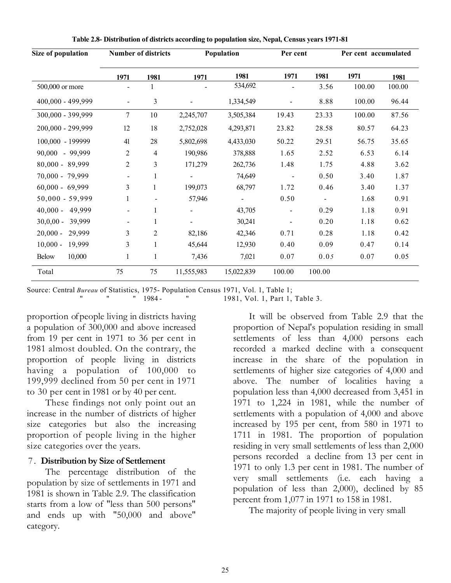| Size of population   |                          | <b>Number of districts</b> |            | Population | Per cent       |        | Per cent accumulated |        |
|----------------------|--------------------------|----------------------------|------------|------------|----------------|--------|----------------------|--------|
|                      | 1971                     | 1981                       | 1971       | 1981       | 1971           | 1981   | 1971                 | 1981   |
| 500,000 or more      |                          | 1                          |            | 534,692    |                | 3.56   | 100.00               | 100.00 |
| 400,000 - 499,999    | $\overline{\phantom{a}}$ | 3                          |            | 1,334,549  |                | 8.88   | 100.00               | 96.44  |
| 300,000 - 399,999    | 7                        | 10                         | 2,245,707  | 3,505,384  | 19.43          | 23.33  | 100.00               | 87.56  |
| 200,000 - 299,999    | 12                       | 18                         | 2,752,028  | 4,293,871  | 23.82          | 28.58  | 80.57                | 64.23  |
| 100,000 - 199999     | 41                       | 28                         | 5,802,698  | 4,433,030  | 50.22          | 29.51  | 56.75                | 35.65  |
| 90,000 - 99,999      | 2                        | 4                          | 190,986    | 378,888    | 1.65           | 2.52   | 6.53                 | 6.14   |
| 80,000 - 89,999      | 2                        | 3                          | 171,279    | 262,736    | 1.48           | 1.75   | 4.88                 | 3.62   |
| 70,000 - 79,999      |                          |                            |            | 74,649     | $\blacksquare$ | 0.50   | 3.40                 | 1.87   |
| $60,000 - 69,999$    | 3                        | 1                          | 199,073    | 68,797     | 1.72           | 0.46   | 3.40                 | 1.37   |
| $50,000 - 59,999$    | 1                        |                            | 57,946     |            | 0.50           |        | 1.68                 | 0.91   |
| 40,000 - 49,999      |                          |                            |            | 43,705     | $\blacksquare$ | 0.29   | 1.18                 | 0.91   |
| $30,0,00 - 39,999$   | $\overline{\phantom{a}}$ | 1                          |            | 30,241     |                | 0.20   | 1.18                 | 0.62   |
| $20,000 -$<br>29,999 | 3                        | 2                          | 82,186     | 42,346     | 0.71           | 0.28   | 1.18                 | 0.42   |
| $10,000 -$<br>19,999 | 3                        |                            | 45,644     | 12,930     | 0.40           | 0.09   | 0.47                 | 0.14   |
| 10,000<br>Below      | 1                        | 1                          | 7,436      | 7,021      | 0.07           | 0.05   | 0.07                 | 0.05   |
| Total                | 75                       | 75                         | 11,555,983 | 15,022,839 | 100.00         | 100.00 |                      |        |

Table 2.8- Distribution of districts according to population size, Nepal, Census years 1971-81

Source: Central Bureau of Statistics, 1975- Population Census 1971, Vol. 1, Table 1; " 1984 - " 1981, Vol. 1, Part 1, Table 3.

proportion of people living in districts having a population of 300,000 and above increased from 19 per cent in 1971 to 36 per cent in 1981 almost doubled. On the contrary, the proportion of people living in districts having a population of 100,000 to 199,999 declined from 50 per cent in 1971 to 30 per cent in 1981 or by 40 per cent.

These findings not only point out an increase in the number of districts of higher size categories but also the increasing proportion of people living in the higher size categories over the years.

# 7 . Distribution by Size of Settlement

The percentage distribution of the population by size of settlements in 1971 and 1981 is shown in Table 2.9. The classification starts from a low of "less than 500 persons" and ends up with "50,000 and above" category.

It will be observed from Table 2.9 that the proportion of Nepal's population residing in small settlements of less than 4,000 persons each recorded a marked decline with a consequent increase in the share of the population in settlements of higher size categories of 4,000 and above. The number of localities having a population less than 4,000 decreased from 3,451 in 1971 to 1,224 in 1981, while the number of settlements with a population of 4,000 and above increased by 195 per cent, from 580 in 1971 to 1711 in 1981. The proportion of population residing in very small settlements of less than 2,000 persons recorded a decline from 13 per cent in 1971 to only 1.3 per cent in 1981. The number of very small settlements (i.e. each having a population of less than 2,000), declined by 85 percent from 1,077 in 1971 to 158 in 1981.

The majority of people living in very small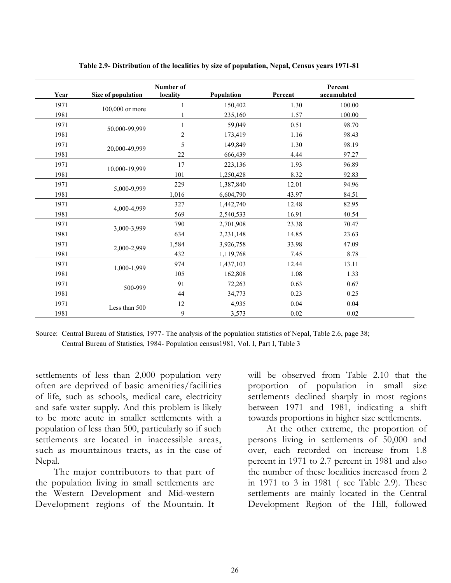| Year | Size of population | Number of<br>locality | Population | Percent  | Percent<br>accumulated |
|------|--------------------|-----------------------|------------|----------|------------------------|
| 1971 |                    |                       | 150,402    | 1.30     | 100.00                 |
| 1981 | 100,000 or more    |                       | 235,160    | 1.57     | 100.00                 |
| 1971 |                    |                       | 59,049     | 0.51     | 98.70                  |
| 1981 | 50,000-99,999      | $\overline{c}$        | 173,419    | 1.16     | 98.43                  |
| 1971 | 20,000-49,999      | 5                     | 149,849    | 1.30     | 98.19                  |
| 1981 |                    | 22                    | 666,439    | 4.44     | 97.27                  |
| 1971 | 10,000-19,999      | 17                    | 223,136    | 1.93     | 96.89                  |
| 1981 |                    | 101                   | 1,250,428  | 8.32     | 92.83                  |
| 1971 | 5,000-9,999        | 229                   | 1,387,840  | 12.01    | 94.96                  |
| 1981 |                    | 1,016                 | 6,604,790  | 43.97    | 84.51                  |
| 1971 | 4,000-4,999        | 327                   | 1,442,740  | 12.48    | 82.95                  |
| 1981 |                    | 569                   | 2,540,533  | 16.91    | 40.54                  |
| 1971 | 3,000-3,999        | 790                   | 2,701,908  | 23.38    | 70.47                  |
| 1981 |                    | 634                   | 2,231,148  | 14.85    | 23.63                  |
| 1971 | 2,000-2,999        | 1,584                 | 3,926,758  | 33.98    | 47.09                  |
| 1981 |                    | 432                   | 1,119,768  | 7.45     | 8.78                   |
| 1971 | 1,000-1,999        | 974                   | 1,437,103  | 12.44    | 13.11                  |
| 1981 |                    | 105                   | 162,808    | 1.08     | 1.33                   |
| 1971 | 500-999            | 91                    | 72,263     | 0.63     | 0.67                   |
| 1981 |                    | 44                    | 34,773     | 0.23     | 0.25                   |
| 1971 | Less than 500      | 12                    | 4,935      | 0.04     | 0.04                   |
| 1981 |                    | 9                     | 3,573      | $0.02\,$ | 0.02                   |

Table 2.9- Distribution of the localities by size of population, Nepal, Census years 1971-81

Source: Central Bureau of Statistics, 1977- The analysis of the population statistics of Nepal, Table 2.6, page 38; Central Bureau of Statistics, 1984- Population census1981, Vol. I, Part I, Table 3

settlements of less than 2,000 population very often are deprived of basic amenities/facilities of life, such as schools, medical care, electricity and safe water supply. And this problem is likely to be more acute in smaller settlements with a population of less than 500, particularly so if such settlements are located in inaccessible areas, such as mountainous tracts, as in the case of Nepal.

The major contributors to that part of the population living in small settlements are the Western Development and Mid-western Development regions of the Mountain. It

will be observed from Table 2.10 that the proportion of population in small size settlements declined sharply in most regions between 1971 and 1981, indicating a shift towards proportions in higher size settlements.

At the other extreme, the proportion of persons living in settlements of 50,000 and over, each recorded on increase from 1.8 percent in 1971 to 2.7 percent in 1981 and also the number of these localities increased from 2 in 1971 to 3 in 1981 ( see Table 2.9). These settlements are mainly located in the Central Development Region of the Hill, followed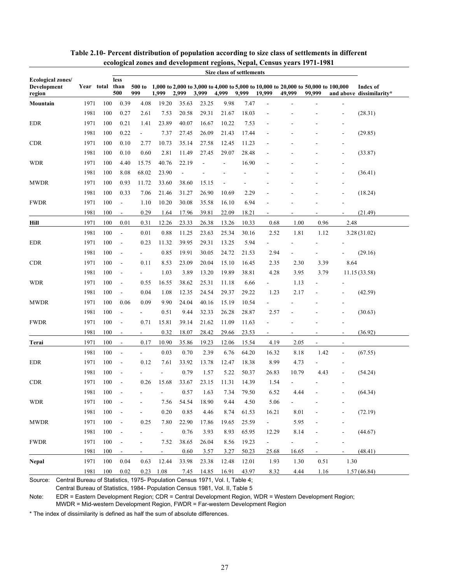| Ecological zones/<br>less<br>500 to 1,000 to 2,000 to 3,000 to 4,000 to 5,000 to 10,000 to 20,000 to 50,000 to 100,000<br>Development<br>Year total than<br>Index of<br>500<br>999<br>3,999<br>4,999<br>9,999<br>99,999<br>1,999<br>2,999<br>19,999<br>49,999<br>and above dissimilarity*<br>region<br>0.39<br>4.08<br>Mountain<br>1971<br>100<br>19.20<br>35.63<br>23.25<br>9.98<br>7.47<br>1981<br>100<br>0.27<br>2.61<br>7.53<br>20.58<br>29.31<br>21.67<br>18.03<br>(28.31)<br>$\overline{a}$<br><b>EDR</b><br>100<br>0.21<br>23.89<br>40.07<br>16.67<br>10.22<br>1971<br>1.41<br>7.53<br>1981<br>100<br>0.22<br>7.37<br>26.09<br>21.43<br>17.44<br>(29.85)<br>27.45<br>$\sim$<br><b>CDR</b><br>1971<br>100<br>0.10<br>10.73<br>35.14<br>2.77<br>27.58<br>12.45<br>11.23<br>1981<br>100<br>0.10<br>0.60<br>2.81<br>27.45<br>29.07<br>28.48<br>11.49<br>(33.87)<br>100<br>40.76<br>22.19<br>16.90<br><b>WDR</b><br>1971<br>4.40<br>15.75<br>÷,<br>1981<br>100<br>8.08<br>68.02<br>23.90<br>(36.41)<br><b>MWDR</b><br>1971<br>100<br>0.93<br>11.72<br>33.60<br>38.60<br>15.15<br>1981<br>100<br>0.33<br>7.06<br>26.90<br>2.29<br>(18.24)<br>21.46<br>31.27<br>10.69<br>1971<br>100<br>16.10<br>6.94<br><b>FWDR</b><br>1.10<br>10.20<br>30.08<br>35.58<br>$\blacksquare$<br>0.29<br>39.81<br>18.21<br>1981<br>100<br>1.64<br>17.96<br>22.09<br>(21.49)<br>$\overline{\phantom{a}}$<br>2.48<br>1971<br>100<br>0.01<br>0.31<br>12.26<br>23.33<br>26.38<br>13.26<br>10.33<br>1.00<br>0.96<br>Hill<br>0.68<br>1981<br>100<br>0.01<br>0.88<br>23.63<br>25.34<br>30.16<br>2.52<br>1.81<br>11.25<br>1.12<br>3.28(31.02)<br>$\overline{\phantom{a}}$<br><b>EDR</b><br>1971<br>100<br>0.23<br>11.32<br>39.95<br>29.31<br>13.25<br>5.94<br>$\blacksquare$<br>1981<br>100<br>0.85<br>19.91<br>30.05<br>24.72<br>21.53<br>2.94<br>(29.16)<br>$\blacksquare$<br>$\blacksquare$<br><b>CDR</b><br>1971<br>100<br>8.53<br>23.09<br>20.04<br>15.10<br>16.45<br>8.64<br>0.11<br>2.35<br>2.30<br>3.39<br>$\blacksquare$<br>1981<br>100<br>1.03<br>3.89<br>19.89<br>38.81<br>13.20<br>4.28<br>3.95<br>3.79<br>11.15(33.58)<br>$\blacksquare$<br>$\blacksquare$<br><b>WDR</b><br>1971<br>100<br>0.55<br>16.55<br>38.62<br>11.18<br>6.66<br>25.31<br>1.13<br>$\Box$ |
|------------------------------------------------------------------------------------------------------------------------------------------------------------------------------------------------------------------------------------------------------------------------------------------------------------------------------------------------------------------------------------------------------------------------------------------------------------------------------------------------------------------------------------------------------------------------------------------------------------------------------------------------------------------------------------------------------------------------------------------------------------------------------------------------------------------------------------------------------------------------------------------------------------------------------------------------------------------------------------------------------------------------------------------------------------------------------------------------------------------------------------------------------------------------------------------------------------------------------------------------------------------------------------------------------------------------------------------------------------------------------------------------------------------------------------------------------------------------------------------------------------------------------------------------------------------------------------------------------------------------------------------------------------------------------------------------------------------------------------------------------------------------------------------------------------------------------------------------------------------------------------------------------------------------------------------------------------------------------------------------------------------------------------------------------------------------------------------------------------------------------------------------------------------------------------------------------------------------------------------------|
|                                                                                                                                                                                                                                                                                                                                                                                                                                                                                                                                                                                                                                                                                                                                                                                                                                                                                                                                                                                                                                                                                                                                                                                                                                                                                                                                                                                                                                                                                                                                                                                                                                                                                                                                                                                                                                                                                                                                                                                                                                                                                                                                                                                                                                                |
|                                                                                                                                                                                                                                                                                                                                                                                                                                                                                                                                                                                                                                                                                                                                                                                                                                                                                                                                                                                                                                                                                                                                                                                                                                                                                                                                                                                                                                                                                                                                                                                                                                                                                                                                                                                                                                                                                                                                                                                                                                                                                                                                                                                                                                                |
|                                                                                                                                                                                                                                                                                                                                                                                                                                                                                                                                                                                                                                                                                                                                                                                                                                                                                                                                                                                                                                                                                                                                                                                                                                                                                                                                                                                                                                                                                                                                                                                                                                                                                                                                                                                                                                                                                                                                                                                                                                                                                                                                                                                                                                                |
|                                                                                                                                                                                                                                                                                                                                                                                                                                                                                                                                                                                                                                                                                                                                                                                                                                                                                                                                                                                                                                                                                                                                                                                                                                                                                                                                                                                                                                                                                                                                                                                                                                                                                                                                                                                                                                                                                                                                                                                                                                                                                                                                                                                                                                                |
|                                                                                                                                                                                                                                                                                                                                                                                                                                                                                                                                                                                                                                                                                                                                                                                                                                                                                                                                                                                                                                                                                                                                                                                                                                                                                                                                                                                                                                                                                                                                                                                                                                                                                                                                                                                                                                                                                                                                                                                                                                                                                                                                                                                                                                                |
|                                                                                                                                                                                                                                                                                                                                                                                                                                                                                                                                                                                                                                                                                                                                                                                                                                                                                                                                                                                                                                                                                                                                                                                                                                                                                                                                                                                                                                                                                                                                                                                                                                                                                                                                                                                                                                                                                                                                                                                                                                                                                                                                                                                                                                                |
|                                                                                                                                                                                                                                                                                                                                                                                                                                                                                                                                                                                                                                                                                                                                                                                                                                                                                                                                                                                                                                                                                                                                                                                                                                                                                                                                                                                                                                                                                                                                                                                                                                                                                                                                                                                                                                                                                                                                                                                                                                                                                                                                                                                                                                                |
|                                                                                                                                                                                                                                                                                                                                                                                                                                                                                                                                                                                                                                                                                                                                                                                                                                                                                                                                                                                                                                                                                                                                                                                                                                                                                                                                                                                                                                                                                                                                                                                                                                                                                                                                                                                                                                                                                                                                                                                                                                                                                                                                                                                                                                                |
|                                                                                                                                                                                                                                                                                                                                                                                                                                                                                                                                                                                                                                                                                                                                                                                                                                                                                                                                                                                                                                                                                                                                                                                                                                                                                                                                                                                                                                                                                                                                                                                                                                                                                                                                                                                                                                                                                                                                                                                                                                                                                                                                                                                                                                                |
|                                                                                                                                                                                                                                                                                                                                                                                                                                                                                                                                                                                                                                                                                                                                                                                                                                                                                                                                                                                                                                                                                                                                                                                                                                                                                                                                                                                                                                                                                                                                                                                                                                                                                                                                                                                                                                                                                                                                                                                                                                                                                                                                                                                                                                                |
|                                                                                                                                                                                                                                                                                                                                                                                                                                                                                                                                                                                                                                                                                                                                                                                                                                                                                                                                                                                                                                                                                                                                                                                                                                                                                                                                                                                                                                                                                                                                                                                                                                                                                                                                                                                                                                                                                                                                                                                                                                                                                                                                                                                                                                                |
|                                                                                                                                                                                                                                                                                                                                                                                                                                                                                                                                                                                                                                                                                                                                                                                                                                                                                                                                                                                                                                                                                                                                                                                                                                                                                                                                                                                                                                                                                                                                                                                                                                                                                                                                                                                                                                                                                                                                                                                                                                                                                                                                                                                                                                                |
|                                                                                                                                                                                                                                                                                                                                                                                                                                                                                                                                                                                                                                                                                                                                                                                                                                                                                                                                                                                                                                                                                                                                                                                                                                                                                                                                                                                                                                                                                                                                                                                                                                                                                                                                                                                                                                                                                                                                                                                                                                                                                                                                                                                                                                                |
|                                                                                                                                                                                                                                                                                                                                                                                                                                                                                                                                                                                                                                                                                                                                                                                                                                                                                                                                                                                                                                                                                                                                                                                                                                                                                                                                                                                                                                                                                                                                                                                                                                                                                                                                                                                                                                                                                                                                                                                                                                                                                                                                                                                                                                                |
|                                                                                                                                                                                                                                                                                                                                                                                                                                                                                                                                                                                                                                                                                                                                                                                                                                                                                                                                                                                                                                                                                                                                                                                                                                                                                                                                                                                                                                                                                                                                                                                                                                                                                                                                                                                                                                                                                                                                                                                                                                                                                                                                                                                                                                                |
|                                                                                                                                                                                                                                                                                                                                                                                                                                                                                                                                                                                                                                                                                                                                                                                                                                                                                                                                                                                                                                                                                                                                                                                                                                                                                                                                                                                                                                                                                                                                                                                                                                                                                                                                                                                                                                                                                                                                                                                                                                                                                                                                                                                                                                                |
|                                                                                                                                                                                                                                                                                                                                                                                                                                                                                                                                                                                                                                                                                                                                                                                                                                                                                                                                                                                                                                                                                                                                                                                                                                                                                                                                                                                                                                                                                                                                                                                                                                                                                                                                                                                                                                                                                                                                                                                                                                                                                                                                                                                                                                                |
|                                                                                                                                                                                                                                                                                                                                                                                                                                                                                                                                                                                                                                                                                                                                                                                                                                                                                                                                                                                                                                                                                                                                                                                                                                                                                                                                                                                                                                                                                                                                                                                                                                                                                                                                                                                                                                                                                                                                                                                                                                                                                                                                                                                                                                                |
|                                                                                                                                                                                                                                                                                                                                                                                                                                                                                                                                                                                                                                                                                                                                                                                                                                                                                                                                                                                                                                                                                                                                                                                                                                                                                                                                                                                                                                                                                                                                                                                                                                                                                                                                                                                                                                                                                                                                                                                                                                                                                                                                                                                                                                                |
|                                                                                                                                                                                                                                                                                                                                                                                                                                                                                                                                                                                                                                                                                                                                                                                                                                                                                                                                                                                                                                                                                                                                                                                                                                                                                                                                                                                                                                                                                                                                                                                                                                                                                                                                                                                                                                                                                                                                                                                                                                                                                                                                                                                                                                                |
| 1981<br>100<br>0.04<br>1.08<br>12.35<br>24.54<br>29.37<br>29.22<br>1.23<br>2.17<br>(42.59)<br>$\overline{\phantom{a}}$<br>÷                                                                                                                                                                                                                                                                                                                                                                                                                                                                                                                                                                                                                                                                                                                                                                                                                                                                                                                                                                                                                                                                                                                                                                                                                                                                                                                                                                                                                                                                                                                                                                                                                                                                                                                                                                                                                                                                                                                                                                                                                                                                                                                    |
| <b>MWDR</b><br>1971<br>100<br>0.09<br>9.90<br>24.04<br>40.16<br>15.19<br>10.54<br>0.06                                                                                                                                                                                                                                                                                                                                                                                                                                                                                                                                                                                                                                                                                                                                                                                                                                                                                                                                                                                                                                                                                                                                                                                                                                                                                                                                                                                                                                                                                                                                                                                                                                                                                                                                                                                                                                                                                                                                                                                                                                                                                                                                                         |
| 1981<br>100<br>0.51<br>32.33<br>26.28<br>28.87<br>2.57<br>9.44<br>(30.63)<br>$\overline{\phantom{a}}$<br>$\frac{1}{2}$                                                                                                                                                                                                                                                                                                                                                                                                                                                                                                                                                                                                                                                                                                                                                                                                                                                                                                                                                                                                                                                                                                                                                                                                                                                                                                                                                                                                                                                                                                                                                                                                                                                                                                                                                                                                                                                                                                                                                                                                                                                                                                                         |
| <b>FWDR</b><br>1971<br>100<br>0.71<br>15.81<br>39.14<br>21.62<br>11.09<br>11.63<br>$\overline{\phantom{a}}$                                                                                                                                                                                                                                                                                                                                                                                                                                                                                                                                                                                                                                                                                                                                                                                                                                                                                                                                                                                                                                                                                                                                                                                                                                                                                                                                                                                                                                                                                                                                                                                                                                                                                                                                                                                                                                                                                                                                                                                                                                                                                                                                    |
| 1981<br>(36.92)<br>100<br>0.32<br>18.07<br>28.42<br>29.66<br>23.53<br>$\overline{\phantom{a}}$<br>$\blacksquare$<br>$\overline{\phantom{a}}$<br>÷<br>۰                                                                                                                                                                                                                                                                                                                                                                                                                                                                                                                                                                                                                                                                                                                                                                                                                                                                                                                                                                                                                                                                                                                                                                                                                                                                                                                                                                                                                                                                                                                                                                                                                                                                                                                                                                                                                                                                                                                                                                                                                                                                                         |
| 1971<br>100<br>10.90<br>35.86<br>19.23<br>12.06<br>0.17<br>15.54<br>4.19<br>2.05<br>Terai<br>$\overline{\phantom{a}}$<br>÷,<br>$\overline{a}$                                                                                                                                                                                                                                                                                                                                                                                                                                                                                                                                                                                                                                                                                                                                                                                                                                                                                                                                                                                                                                                                                                                                                                                                                                                                                                                                                                                                                                                                                                                                                                                                                                                                                                                                                                                                                                                                                                                                                                                                                                                                                                  |
| 1981<br>100<br>0.03<br>0.70<br>2.39<br>6.76<br>64.20<br>8.18<br>1.42<br>16.32<br>(67.55)<br>$\blacksquare$<br>÷,<br>$\overline{a}$                                                                                                                                                                                                                                                                                                                                                                                                                                                                                                                                                                                                                                                                                                                                                                                                                                                                                                                                                                                                                                                                                                                                                                                                                                                                                                                                                                                                                                                                                                                                                                                                                                                                                                                                                                                                                                                                                                                                                                                                                                                                                                             |
| <b>EDR</b><br>1971<br>100<br>0.12<br>33.92<br>13.78<br>12.47<br>18.38<br>8.99<br>4.73<br>7.61<br>$\blacksquare$<br>$\overline{a}$                                                                                                                                                                                                                                                                                                                                                                                                                                                                                                                                                                                                                                                                                                                                                                                                                                                                                                                                                                                                                                                                                                                                                                                                                                                                                                                                                                                                                                                                                                                                                                                                                                                                                                                                                                                                                                                                                                                                                                                                                                                                                                              |
| 1981<br>100<br>0.79<br>1.57<br>5.22<br>50.37<br>26.83<br>10.79<br>4.43<br>(54.24)<br>$\overline{\phantom{a}}$<br>$\blacksquare$<br>$\overline{a}$                                                                                                                                                                                                                                                                                                                                                                                                                                                                                                                                                                                                                                                                                                                                                                                                                                                                                                                                                                                                                                                                                                                                                                                                                                                                                                                                                                                                                                                                                                                                                                                                                                                                                                                                                                                                                                                                                                                                                                                                                                                                                              |
| <b>CDR</b><br>1971<br>100<br>33.67<br>23.15<br>11.31<br>14.39<br>1.54<br>15.68<br>0.26<br>$\overline{\phantom{a}}$                                                                                                                                                                                                                                                                                                                                                                                                                                                                                                                                                                                                                                                                                                                                                                                                                                                                                                                                                                                                                                                                                                                                                                                                                                                                                                                                                                                                                                                                                                                                                                                                                                                                                                                                                                                                                                                                                                                                                                                                                                                                                                                             |
| 1.63<br>1981<br>100<br>0.57<br>7.34<br>79.50<br>6.52<br>(64.34)<br>4.44<br>$\overline{\phantom{a}}$<br>$\overline{a}$                                                                                                                                                                                                                                                                                                                                                                                                                                                                                                                                                                                                                                                                                                                                                                                                                                                                                                                                                                                                                                                                                                                                                                                                                                                                                                                                                                                                                                                                                                                                                                                                                                                                                                                                                                                                                                                                                                                                                                                                                                                                                                                          |
| 18.90<br>9.44<br><b>WDR</b><br>100<br>54.54<br>$4.50\,$<br>5.06<br>7.56<br>1971                                                                                                                                                                                                                                                                                                                                                                                                                                                                                                                                                                                                                                                                                                                                                                                                                                                                                                                                                                                                                                                                                                                                                                                                                                                                                                                                                                                                                                                                                                                                                                                                                                                                                                                                                                                                                                                                                                                                                                                                                                                                                                                                                                |
| 1981<br>100<br>0.20<br>0.85<br>16.21<br>8.01<br>4.46<br>8.74<br>61.53<br>(72.19)                                                                                                                                                                                                                                                                                                                                                                                                                                                                                                                                                                                                                                                                                                                                                                                                                                                                                                                                                                                                                                                                                                                                                                                                                                                                                                                                                                                                                                                                                                                                                                                                                                                                                                                                                                                                                                                                                                                                                                                                                                                                                                                                                               |
| 1971<br>$100\,$<br>7.80<br>22.90<br><b>MWDR</b><br>0.25<br>17.86<br>19.65<br>25.59<br>5.95<br>$\frac{1}{2}$<br>$\blacksquare$                                                                                                                                                                                                                                                                                                                                                                                                                                                                                                                                                                                                                                                                                                                                                                                                                                                                                                                                                                                                                                                                                                                                                                                                                                                                                                                                                                                                                                                                                                                                                                                                                                                                                                                                                                                                                                                                                                                                                                                                                                                                                                                  |
| 1981<br>100<br>0.76<br>3.93<br>8.93<br>65.95<br>12.29<br>8.14<br>(44.67)<br>$\overline{\phantom{a}}$<br>$\overline{\phantom{0}}$                                                                                                                                                                                                                                                                                                                                                                                                                                                                                                                                                                                                                                                                                                                                                                                                                                                                                                                                                                                                                                                                                                                                                                                                                                                                                                                                                                                                                                                                                                                                                                                                                                                                                                                                                                                                                                                                                                                                                                                                                                                                                                               |
| $100\,$<br>7.52<br>38.65<br>8.56<br>19.23<br>$\ensuremath{\mathrm{FWDR}}$<br>1971<br>26.04<br>÷,<br>$\overline{\phantom{a}}$                                                                                                                                                                                                                                                                                                                                                                                                                                                                                                                                                                                                                                                                                                                                                                                                                                                                                                                                                                                                                                                                                                                                                                                                                                                                                                                                                                                                                                                                                                                                                                                                                                                                                                                                                                                                                                                                                                                                                                                                                                                                                                                   |
| 3.27<br>(48.41)<br>1981<br>100<br>0.60<br>3.57<br>50.23<br>25.68<br>16.65<br>$\sim$<br>$\overline{\phantom{a}}$<br>۰                                                                                                                                                                                                                                                                                                                                                                                                                                                                                                                                                                                                                                                                                                                                                                                                                                                                                                                                                                                                                                                                                                                                                                                                                                                                                                                                                                                                                                                                                                                                                                                                                                                                                                                                                                                                                                                                                                                                                                                                                                                                                                                           |
| 1.30<br>1971<br>100<br><b>Nepal</b><br>0.04<br>0.63<br>12.44<br>33.98<br>23.38<br>12.48<br>12.01<br>1.93<br>0.51<br>1.30                                                                                                                                                                                                                                                                                                                                                                                                                                                                                                                                                                                                                                                                                                                                                                                                                                                                                                                                                                                                                                                                                                                                                                                                                                                                                                                                                                                                                                                                                                                                                                                                                                                                                                                                                                                                                                                                                                                                                                                                                                                                                                                       |
| 1981<br>1.08<br>14.85<br>16.91<br>8.32<br>1.57(46.84)<br>100<br>0.02<br>0.23<br>7.45<br>43.97<br>1.16<br>4.44                                                                                                                                                                                                                                                                                                                                                                                                                                                                                                                                                                                                                                                                                                                                                                                                                                                                                                                                                                                                                                                                                                                                                                                                                                                                                                                                                                                                                                                                                                                                                                                                                                                                                                                                                                                                                                                                                                                                                                                                                                                                                                                                  |

#### Table 2.10- Percent distribution of population according to size class of settlements in different ecological zones and development regions, Nepal, Census years 1971-1981

Source: Central Bureau of Statistics, 1975- Population Census 1971, Vol. I, Table 4;

Central Bureau of Statistics, 1984- Population Census 1981, Vol. II, Table 5

Note: EDR = Eastern Development Region; CDR = Central Development Region, WDR = Western Development Region; MWDR = Mid-western Development Region, FWDR = Far-western Development Region

\* The index of dissimilarity is defined as half the sum of absolute differences.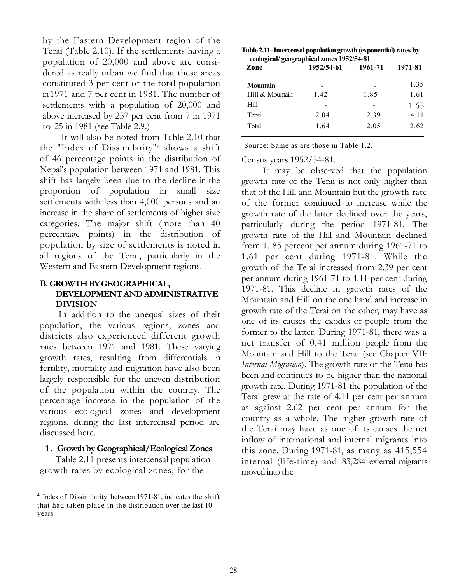by the Eastern Development region of the Terai (Table 2.10). If the settlements having a population of 20,000 and above are considered as really urban we find that these areas constituted 3 per cent of the total population in 1971 and 7 per cent in 1981. The number of settlements with a population of 20,000 and above increased by 257 per cent from 7 in 1971 to 25 in 1981 (see Table 2.9.)

It will also be noted from Table 2.10 that the "Index of Dissimilarity"<sup>4</sup> shows a shift of 46 percentage points in the distribution of Nepal's population between 1971 and 1981. This shift has largely been due to the decline in the proportion of population in small size settlements with less than 4,000 persons and an increase in the share of settlements of higher size categories. The major shift (more than 40 percentage points) in the distribution of population by size of settlements is noted in all regions of the Terai, particularly in the Western and Eastern Development regions.

# B. GROWTH BY GEOGRAPHICAL, DEVELOPMENT AND ADMINISTRATIVE DIVISION

In addition to the unequal sizes of their population, the various regions, zones and districts also experienced different growth rates between 1971 and 1981. These varying growth rates, resulting from differentials in fertility, mortality and migration have also been largely responsible for the uneven distribution of the population within the country. The percentage increase in the population of the various ecological zones and development regions, during the last intercensal period are discussed here.

### 1. Growth by Geographical/Ecological Zones

Table 2.11 presents intercensal population growth rates by ecological zones, for the

| Table 2.11- Intercensal population growth (exponential) rates by |
|------------------------------------------------------------------|
| ecological/geographical zones 1952/54-81                         |

| Zone            | 1952/54-61 | 1961-71 | 1971-81 |
|-----------------|------------|---------|---------|
| <b>Mountain</b> |            |         | 1.35    |
| Hill & Mountain | 1.42       | 1.85    | 1.61    |
| <b>Hill</b>     |            |         | 1.65    |
| Terai           | 2.04       | 2.39    | 4.11    |
| Total           | 1.64       | 2.05    | 2.62    |

Source: Same as are those in Table 1.2.

Census years 1952/54-81.

It may be observed that the population growth rate of the Terai is not only higher than that of the Hill and Mountain but the growth rate of the former continued to increase while the growth rate of the latter declined over the years, particularly during the period 1971-81. The growth rate of the Hill and Mountain declined from 1. 85 percent per annum during 1961-71 to 1.61 per cent during 1971-81. While the growth of the Terai increased from 2.39 per cent per annum during 1961-71 to 4.11 per cent during 1971-81. This decline in growth rates of the Mountain and Hill on the one hand and increase in growth rate of the Terai on the other, may have as one of its causes the exodus of people from the former to the latter. During 1971-81, there was a net transfer of 0.41 million people from the Mountain and Hill to the Terai (see Chapter VII: Internal Migration). The growth rate of the Terai has been and continues to be higher than the national growth rate. During 1971-81 the population of the Terai grew at the rate of 4.11 per cent per annum as against 2.62 per cent per annum for the country as a whole. The higher growth rate of the Terai may have as one of its causes the net inflow of international and internal migrants into this zone. During 1971-81, as many as 415,554 internal (life-time) and 83,284 external migrants moved into the

<sup>4</sup> 'Index of Dissimilarity' between 1971-81, indicates the shift that had taken place in the distribution over the last 10 years.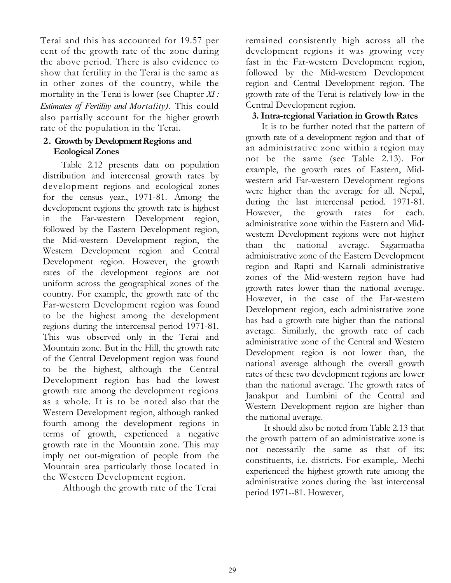Terai and this has accounted for 19.57 per cent of the growth rate of the zone during the above period. There is also evidence to show that fertility in the Terai is the same as in other zones of the country, while the mortality in the Terai is lower (see Chapter  $XI$ : Estimates of Fertility and Mortality). This could also partially account for the higher growth rate of the population in the Terai.

# 2. Growth by Development Regions and Ecological Zones

Table 2.12 presents data on population distribution and intercensal growth rates by development regions and ecological zones for the census year., 1971-81. Among the development regions the growth rate is highest in the Far-western Development region, followed by the Eastern Development region, the Mid-western Development region, the Western Development region and Central Development region. However, the growth rates of the development regions are not uniform across the geographical zones of the country. For example, the growth rate of the Far-western Development region was found to be the highest among the development regions during the intercensal period 1971-81. This was observed only in the Terai and Mountain zone. But in the Hill, the growth rate of the Central Development region was found to be the highest, although the Central Development region has had the lowest growth rate among the development regions as a whole. It is to be noted also that the Western Development region, although ranked fourth among the development regions in terms of growth, experienced a negative growth rate in the Mountain zone. This may imply net out-migration of people from the Mountain area particularly those located in the Western Development region.

Although the growth rate of the Terai

remained consistently high across all the development regions it was growing very fast in the Far-western Development region, followed by the Mid-western Development region and Central Development region. The growth rate of the Terai is relatively low, in the Central Development region.

# 3. Intra-regional Variation in Growth Rates

It is to be further noted that the pattern of growth rate of a development region and that of an administrative zone within a region may not be the same (see Table 2.13). For example, the growth rates of Eastern, Midwestern arid Far-western Development regions were higher than the average for all. Nepal, during the last intercensal period. 1971-81. However, the growth rates for each. administrative zone within the Eastern and Midwestern Development regions were not higher than the national average. Sagarmatha administrative zone of the Eastern Development region and Rapti and Karnali administrative zones of the Mid-western region have had growth rates lower than the national average. However, in the case of the Far-western Development region, each administrative zone has had a growth rate higher than the national average. Similarly, the growth rate of each administrative zone of the Central and Western Development region is not lower than, the national average although the overall growth rates of these two development regions are lower than the national average. The growth rates of Janakpur and Lumbini of the Central and Western Development region are higher than the national average.

It should also be noted from Table 2.13 that the growth pattern of an administrative zone is not necessarily the same as that of its: constituents, i.e. districts. For example,. Mechi experienced the highest growth rate among the administrative zones during the. last intercensal period 1971--81. However,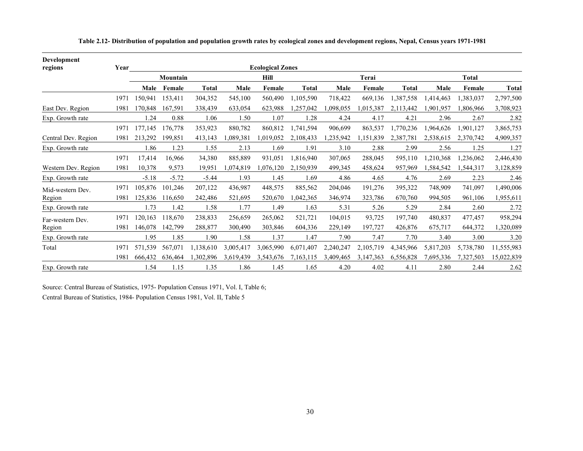| <b>Development</b><br>regions | Year |         |          |              |           | <b>Ecological Zones</b> |              |           |           |              |           |           |              |
|-------------------------------|------|---------|----------|--------------|-----------|-------------------------|--------------|-----------|-----------|--------------|-----------|-----------|--------------|
|                               |      |         | Mountain |              |           | Hill                    |              |           | Terai     |              |           | Total     |              |
|                               |      | Male    | Female   | <b>Total</b> | Male      | Female                  | <b>Total</b> | Male      | Female    | <b>Total</b> | Male      | Female    | <b>Total</b> |
|                               | 1971 | 150,941 | 153,411  | 304,352      | 545,100   | 560,490                 | 1,105,590    | 718,422   | 669,136   | 1,387,558    | ,414,463  | 1,383,037 | 2,797,500    |
| East Dev. Region              | 1981 | 170.848 | 167,591  | 338,439      | 633,054   | 623,988                 | 1,257,042    | 1,098,055 | 1,015,387 | 2,113,442    | 1.901.957 | 1,806,966 | 3,708,923    |
| Exp. Growth rate              |      | 1.24    | 0.88     | 1.06         | 1.50      | 1.07                    | 1.28         | 4.24      | 4.17      | 4.21         | 2.96      | 2.67      | 2.82         |
|                               | 1971 | 177,145 | 176,778  | 353,923      | 880,782   | 860,812                 | 1,741,594    | 906,699   | 863,537   | 1,770,236    | 1,964,626 | 1,901,127 | 3,865,753    |
| Central Dev. Region           | 1981 | 213,292 | 199.851  | 413,143      | ,089,381  | 1.019.052               | 2,108,433    | 1.235.942 | 1,151,839 | 2,387,781    | 2.538.615 | 2.370.742 | 4,909,357    |
| Exp. Growth rate              |      | 1.86    | 1.23     | 1.55         | 2.13      | 1.69                    | 1.91         | 3.10      | 2.88      | 2.99         | 2.56      | 1.25      | 1.27         |
|                               | 1971 | 17,414  | 16,966   | 34,380       | 885,889   | 931,051                 | 1,816,940    | 307,065   | 288,045   | 595,110      | 1,210,368 | 1,236,062 | 2,446,430    |
| Western Dev. Region           | 1981 | 10,378  | 9,573    | 19,951       | ,074,819  | 1,076,120               | 2,150,939    | 499,345   | 458,624   | 957,969      | 1,584,542 | 1,544,317 | 3,128,859    |
| Exp. Growth rate              |      | $-5.18$ | $-5.72$  | $-5.44$      | 1.93      | 1.45                    | 1.69         | 4.86      | 4.65      | 4.76         | 2.69      | 2.23      | 2.46         |
| Mid-western Dev.              | 1971 | 105,876 | 101,246  | 207,122      | 436,987   | 448,575                 | 885,562      | 204,046   | 191,276   | 395,322      | 748,909   | 741,097   | 1,490,006    |
| Region                        | 1981 | 125,836 | 116.650  | 242,486      | 521,695   | 520,670                 | 1,042,365    | 346,974   | 323,786   | 670,760      | 994,505   | 961,106   | 1,955,611    |
| Exp. Growth rate              |      | 1.73    | 1.42     | 1.58         | 1.77      | 1.49                    | 1.63         | 5.31      | 5.26      | 5.29         | 2.84      | 2.60      | 2.72         |
| Far-western Dev.              | 1971 | 120,163 | 118,670  | 238,833      | 256,659   | 265,062                 | 521,721      | 104,015   | 93,725    | 197,740      | 480,837   | 477,457   | 958,294      |
| Region                        | 1981 | 146,078 | 142,799  | 288,877      | 300,490   | 303,846                 | 604,336      | 229,149   | 197,727   | 426,876      | 675,717   | 644,372   | 1,320,089    |
| Exp. Growth rate              |      | 1.95    | 1.85     | 1.90         | 1.58      | 1.37                    | 1.47         | 7.90      | 7.47      | 7.70         | 3.40      | 3.00      | 3.20         |
| Total                         | 1971 | 571,539 | 567,071  | 1,138,610    | 3.005.417 | 3,065,990               | 6,071,407    | 2,240,247 | 2,105,719 | 4,345,966    | 5,817,203 | 5,738,780 | 11,555,983   |
|                               | 1981 | 666,432 | 636,464  | 1,302,896    | 3,619,439 | 3,543,676               | 7,163,115    | 3,409,465 | 3,147,363 | 6,556,828    | 7,695,336 | 7,327,503 | 15,022,839   |
| Exp. Growth rate              |      | 1.54    | 1.15     | 1.35         | 1.86      | 1.45                    | 1.65         | 4.20      | 4.02      | 4.11         | 2.80      | 2.44      | 2.62         |

Table 2.12- Distribution of population and population growth rates by ecological zones and development regions, Nepal, Census years 1971-1981

Source: Central Bureau of Statistics, 1975- Population Census 1971, Vol. I, Table 6;

Central Bureau of Statistics, 1984- Population Census 1981, Vol. II, Table 5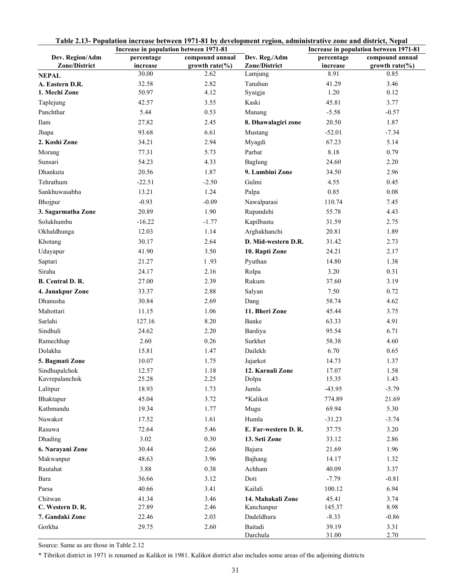|                    | Increase in population between 1971-81 |                     |                      | Increase in population between 1971-81 |                              |  |
|--------------------|----------------------------------------|---------------------|----------------------|----------------------------------------|------------------------------|--|
| Dev. Region/Adm    | percentage                             | compound annual     | Dev. Reg./Adm        | percentage                             | compound annual              |  |
| Zone/District      | increase                               | growth rate $(\% )$ | Zone/District        | increase                               | growth $rate$ <sup>(%)</sup> |  |
| <b>NEPAL</b>       | 30.00                                  | 2.62                | Lamjung              | 8.91                                   | 0.85                         |  |
| A. Eastern D.R.    | 32.58                                  | 2.82                | Tanahun              | 41.29                                  | 3.46                         |  |
| 1. Mechi Zone      | 50.97                                  | 4.12                | Syaigja              | 1.20                                   | 0.12                         |  |
| Taplejung          | 42.57                                  | 3.55                | Kaski                | 45.81                                  | 3.77                         |  |
| Panchthar          | 5.44                                   | 0.53                | Manang               | $-5.58$                                | $-0.57$                      |  |
| Ilam               | 27.82                                  | 2.45                | 8. Dhawalagiri zone  | 20.50                                  | 1.87                         |  |
| Jhapa              | 93.68                                  | 6.61                | Mustang              | $-52.01$                               | $-7.34$                      |  |
| 2. Koshi Zone      | 34.21                                  | 2.94                | Myagdi               | 67.23                                  | 5.14                         |  |
| Morang             | 77.31                                  | 5.73                | Parbat               | 8.18                                   | 0.79                         |  |
| Sunsari            | 54.23                                  | 4.33                | Baglung              | 24.60                                  | 2.20                         |  |
| Dhankuta           | 20.56                                  | 1.87                | 9. Lumbini Zone      | 34.50                                  | 2.96                         |  |
| Tehrathum          | $-22.51$                               | $-2.50$             | Gulmi                | 4.55                                   | 0.45                         |  |
| Sankhuwasabha      | 13.21                                  | 1.24                | Palpa                | 0.85                                   | 0.08                         |  |
| Bhojpur            | $-0.93$                                | $-0.09$             | Nawalparasi          | 110.74                                 | 7.45                         |  |
| 3. Sagarmatha Zone | 20.89                                  | 1.90                | Rupandehi            | 55.78                                  | 4.43                         |  |
| Solukhumbu         | $-16.22$                               | $-1.77$             | Kapilbastu           | 31.59                                  | 2.75                         |  |
| Okhaldhunga        | 12.03                                  | 1.14                | Arghakhanchi         | 20.81                                  | 1.89                         |  |
| Khotang            | 30.17                                  | 2.64                | D. Mid-western D.R.  | 31.42                                  | 2.73                         |  |
| Udayapur           | 41.90                                  | 3.50                | 10. Rapti Zone       | 24.21                                  | 2.17                         |  |
| Saptari            | 21.27                                  | 1.93                | Pyuthan              | 14.80                                  | 1.38                         |  |
| Siraha             | 24.17                                  | 2.16                | Rolpa                | 3.20                                   | 0.31                         |  |
| B. Central D. R.   | 27.00                                  | 2.39                | Rukum                | 37.60                                  | 3.19                         |  |
| 4. Janakpur Zone   | 33.37                                  | 2.88                | Salyan               | 7.50                                   | 0.72                         |  |
| Dhanusha           | 30.84                                  | 2.69                | Dang                 | 58.74                                  | 4.62                         |  |
| Mahottari          | 11.15                                  | 1.06                | 11. Bheri Zone       | 45.44                                  | 3.75                         |  |
| Sarlahi            | 127.16                                 | 8.20                | Banke                | 63.33                                  | 4.91                         |  |
| Sindhuli           | 24.62                                  | 2.20                | Bardiya              | 95.54                                  | 6.71                         |  |
| Ramechhap          | 2.60                                   | 0.26                | Surkhet              | 58.38                                  | 4.60                         |  |
| Dolakha            | 15.81                                  | 1.47                | Dailekh              | 6.70                                   | 0.65                         |  |
| 5. Bagmati Zone    | 10.07                                  | 1.75                | Jajarkot             | 14.73                                  | 1.37                         |  |
| Sindhupalchok      | 12.57                                  | 1.18                | 12. Karnali Zone     | 17.07                                  | 1.58                         |  |
| Kavrepalanchok     | 25.28                                  | 2.25                | Dolpa                | 15.35                                  | 1.43                         |  |
| Lalitpur           | 18.93                                  | 1.73                | Jumla                | $-43.95$                               | $-5.79$                      |  |
| Bhaktapur          | 45.04                                  | 3.72                | *Kalikot             | 774.89                                 | 21.69                        |  |
| Kathmandu          | 19.34                                  | 1.77                | Mugu                 | 69.94                                  | 5.30                         |  |
| Nuwakot            | 17.52                                  | 1.61                | Humla                | $-31.23$                               | $-3.74$                      |  |
| Rasuwa             | 72.64                                  | 5.46                | E. Far-western D. R. | 37.75                                  | 3.20                         |  |
| Dhading            | 3.02                                   | 0.30                | 13. Seti Zone        | 33.12                                  | 2.86                         |  |
| 6. Narayani Zone   | 30.44                                  | 2.66                | Bajura               | 21.69                                  | 1.96                         |  |
| Makwanpur          | 48.63                                  | 3.96                | Bajhang              | 14.17                                  | 1.32                         |  |
| Rautahat           | 3.88                                   | 0.38                | Achham               | 40.09                                  | 3.37                         |  |
| Bara               | 36.66                                  | 3.12                | Doti                 | $-7.79$                                | $-0.81$                      |  |
| Parsa              | 40.66                                  | 3.41                | Kailali              | 100.12                                 | 6.94                         |  |
| Chitwan            | 41.34                                  | 3.46                | 14. Mahakali Zone    | 45.41                                  | 3.74                         |  |
| C. Western D. R.   | 27.89                                  | 2.46                | Kanchanpur           | 145.37                                 | 8.98                         |  |
| 7. Gandaki Zone    | 22.46                                  | 2.03                | Dadeldhura           | $-8.33$                                | $-0.86$                      |  |
| Gorkha             | 29.75                                  | 2.60                | Baitadi<br>Darchula  | 39.19<br>31.00                         | 3.31<br>2.70                 |  |

|  | Table 2.13- Population increase between 1971-81 by development region, administrative zone and district, Nepal |
|--|----------------------------------------------------------------------------------------------------------------|
|--|----------------------------------------------------------------------------------------------------------------|

Source: Same as are those in Table 2.12

\* Tibrikot district in 1971 is renamed as Kalikot in 1981. Kalikot district also includes some areas of the adjoining districts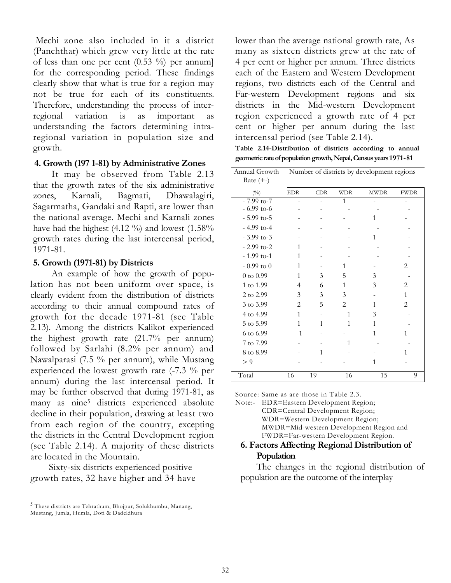Mechi zone also included in it a district (Panchthar) which grew very little at the rate of less than one per cent  $(0.53 \%)$  per annum] for the corresponding period. These findings clearly show that what is true for a region may not be true for each of its constituents. Therefore, understanding the process of interregional variation is as important as understanding the factors determining intraregional variation in population size and growth.

#### 4. Growth (197 1-81) by Administrative Zones

It may be observed from Table 2.13 that the growth rates of the six administrative zones, Karnali, Bagmati, Dhawalagiri, Sagarmatha, Gandaki and Rapti, are lower than the national average. Mechi and Karnali zones have had the highest (4.12 %) and lowest (1.58% growth rates during the last intercensal period, 1971-81.

#### 5. Growth (1971-81) by Districts

An example of how the growth of population has not been uniform over space, is clearly evident from the distribution of districts according to their annual compound rates of growth for the decade 1971-81 (see Table 2.13). Among the districts Kalikot experienced the highest growth rate (21.7% per annum) followed by Sarlahi (8.2% per annum) and Nawalparasi (7.5 % per annum), while Mustang experienced the lowest growth rate (-7.3 % per annum) during the last intercensal period. It may be further observed that during 1971-81, as many as nine<sup>5</sup> districts experienced absolute decline in their population, drawing at least two from each region of the country, excepting the districts in the Central Development region (see Table 2.14). A majority of these districts are located in the Mountain.

Sixty-six districts experienced positive growth rates, 32 have higher and 34 have lower than the average national growth rate, As many as sixteen districts grew at the rate of 4 per cent or higher per annum. Three districts each of the Eastern and Western Development regions, two districts each of the Central and Far-western Development regions and six districts in the Mid-western Development region experienced a growth rate of 4 per cent or higher per annum during the last intercensal period (see Table 2.14).

Table 2.14-Distribution of districts according to annual geometric rate of population growth, Nepal, Census years 1971-81

| Annual Growth<br>Rate $(+-)$ | Number of districts by development regions |            |                |             |                |  |
|------------------------------|--------------------------------------------|------------|----------------|-------------|----------------|--|
| (0/0)                        | <b>EDR</b>                                 | <b>CDR</b> | <b>WDR</b>     | <b>MWDR</b> | <b>FWDR</b>    |  |
| $-7.99$ to-7                 |                                            |            | 1              |             |                |  |
| $-6.99$ to-6                 |                                            |            |                |             |                |  |
| $-5.99$ to-5                 |                                            |            |                | Ί           |                |  |
| $-4.99$ to-4                 |                                            |            |                |             |                |  |
| $-3.99$ to-3                 |                                            |            |                | 1           |                |  |
| $-2.99$ to-2                 | 1                                          |            |                |             |                |  |
| $-1.99$ to-1                 | 1                                          |            |                |             |                |  |
| $-0.99$ to 0                 | 1                                          |            | 1              |             | 2              |  |
| $0$ to $0.99$                | 1                                          | 3          | 5              | 3           |                |  |
| 1 to 1.99                    | 4                                          | 6          | 1              | 3           | 2              |  |
| 2 to 2.99                    | 3                                          | 3          | 3              |             | $\mathbf{1}$   |  |
| 3 to 3.99                    | $\overline{2}$                             | 5          | $\overline{2}$ | 1           | $\overline{2}$ |  |
| 4 to 4.99                    | 1                                          |            | 1              | 3           |                |  |
| 5 to 5.99                    | 1                                          | 1          | 1              | 1           |                |  |
| 6 to 6.99                    | $\mathbf{1}$                               |            |                | 1           | 1              |  |
| 7 to 7.99                    |                                            |            | 1              |             |                |  |
| 8 to 8.99                    |                                            | 1          |                |             |                |  |
| > 9                          |                                            |            |                | 1           |                |  |
| Total                        | 16                                         | 19         | 16             | 15          | 9              |  |

Source: Same as are those in Table 2.3.

Note:- EDR=Eastern Development Region; CDR=Central Development Region; WDR=Western Development Region; MWDR=Mid-western Development Region and FWDR=Far-western Development Region.

## 6. Factors Affecting Regional Distribution of Population

The changes in the regional distribution of population are the outcome of the interplay

<sup>5</sup> These districts are Tehrathum, Bhojpur, Solukhumbu, Manang, Mustang, Jumla, Humla, Doti & Dadeldhura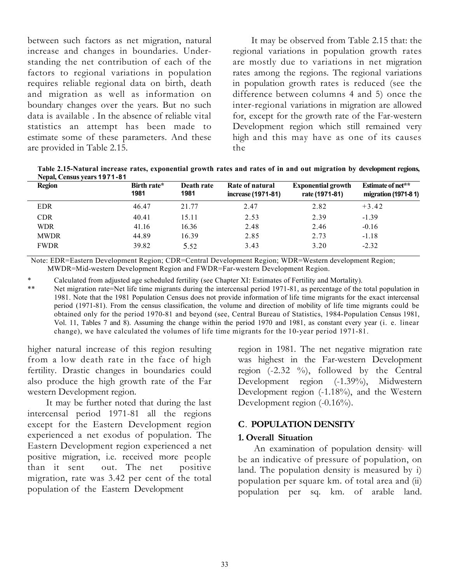between such factors as net migration, natural increase and changes in boundaries. Understanding the net contribution of each of the factors to regional variations in population requires reliable regional data on birth, death and migration as well as information on boundary changes over the years. But no such data is available . In the absence of reliable vital statistics an attempt has been made to estimate some of these parameters. And these are provided in Table 2.15.

It may be observed from Table 2.15 that: the regional variations in population growth rates are mostly due to variations in net migration rates among the regions. The regional variations in population growth rates is reduced (see the difference between columns 4 and 5) once the inter-regional variations in migration are allowed for, except for the growth rate of the Far-western Development region which still remained very high and this may have as one of its causes the

Table 2.15-Natural increase rates, exponential growth rates and rates of in and out migration by development regions, Nepal, Census years 1971-81

| <b>Region</b> | Birth rate*<br>1981 | Death rate<br>1981 | Rate of natural<br>increase (1971-81) | <b>Exponential growth</b><br>rate (1971-81) | <b>Estimate of net**</b><br>migration (1971-81) |
|---------------|---------------------|--------------------|---------------------------------------|---------------------------------------------|-------------------------------------------------|
| <b>EDR</b>    | 46.47               | 21.77              | 2.47                                  | 2.82                                        | $+3.42$                                         |
| <b>CDR</b>    | 40.41               | 15.11              | 2.53                                  | 2.39                                        | $-1.39$                                         |
| <b>WDR</b>    | 41.16               | 16.36              | 2.48                                  | 2.46                                        | $-0.16$                                         |
| <b>MWDR</b>   | 44.89               | 16.39              | 2.85                                  | 2.73                                        | $-1.18$                                         |
| <b>FWDR</b>   | 39.82               | 5.52               | 3.43                                  | 3.20                                        | $-2.32$                                         |

Note: EDR=Eastern Development Region; CDR=Central Development Region; WDR=Western development Region; MWDR=Mid-western Development Region and FWDR=Far-western Development Region.

Calculated from adjusted age scheduled fertility (see Chapter XI: Estimates of Fertility and Mortality).

\*\* Net migration rate=Net life time migrants during the intercensal period 1971-81, as percentage of the total population in 1981. Note that the 1981 Population Census does not provide information of life time migrants for the exact intercensal period (1971-81). From the census classification, the volume and direction of mobility of life time migrants could be obtained only for the period 1970-81 and beyond (see, Central Bureau of Statistics, 1984-Population Census 1981, Vol. 11, Tables 7 and 8). Assuming the change within the period 1970 and 1981, as constant every year (i. e. linear change), we have calculated the volumes of life time migrants for the 10-year period 1971-81.

higher natural increase of this region resulting from a low death rate in the face of high fertility. Drastic changes in boundaries could also produce the high growth rate of the Far western Development region.

It may be further noted that during the last intercensal period 1971-81 all the regions except for the Eastern Development region experienced a net exodus of population. The Eastern Development region experienced a net positive migration, i.e. received more people than it sent out. The net positive migration, rate was 3.42 per cent of the total population of the Eastern Development

region in 1981. The net negative migration rate was highest in the Far-western Development region  $(-2.32 \degree\%)$ , followed by the Central Development region (-1.39%), Midwestern Development region (-1.18%), and the Western Development region (-0.16%).

# C. POPULATION DENSITY

#### 1. Overall Situation

An examination of population density, will be an indicative of pressure of population, on land. The population density is measured by i) population per square km. of total area and (ii) population per sq. km. of arable land.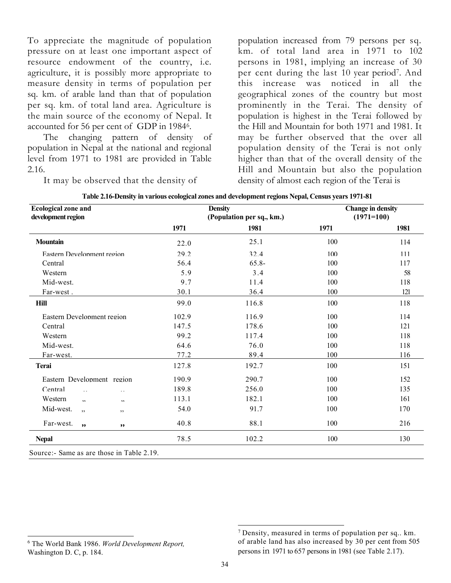To appreciate the magnitude of population pressure on at least one important aspect of resource endowment of the country, i.e. agriculture, it is possibly more appropriate to measure density in terms of population per sq. km. of arable land than that of population per sq. km. of total land area. Agriculture is the main source of the economy of Nepal. It accounted for 56 per cent of GDP in 1984<sup>6</sup> .

The changing pattern of density of population in Nepal at the national and regional level from 1971 to 1981 are provided in Table 2.16.

It may be observed that the density of

population increased from 79 persons per sq. km. of total land area in 1971 to 102 persons in 1981, implying an increase of 30 per cent during the last 10 year period<sup>7</sup> . And this increase was noticed in all the geographical zones of the country but most prominently in the Terai. The density of population is highest in the Terai followed by the Hill and Mountain for both 1971 and 1981. It may be further observed that the over all population density of the Terai is not only higher than that of the overall density of the Hill and Mountain but also the population density of almost each region of the Terai is

| <b>Ecological zone and</b><br>development region |       | <b>Density</b><br>(Population per sq., km.) | <b>Change in density</b><br>$(1971=100)$ |      |  |
|--------------------------------------------------|-------|---------------------------------------------|------------------------------------------|------|--|
|                                                  | 1971  | 1981                                        | 1971                                     | 1981 |  |
| <b>Mountain</b>                                  | 22.0  | 25.1                                        | 100                                      | 114  |  |
| Eastern Development region                       | 29.2  | 32.4                                        | 100                                      | 111  |  |
| Central                                          | 56.4  | $65.8-$                                     | 100                                      | 117  |  |
| Western                                          | 5.9   | 3.4                                         | 100                                      | 58   |  |
| Mid-west.                                        | 9.7   | 11.4                                        | 100                                      | 118  |  |
| Far-west.                                        | 30.1  | 36.4                                        | 100                                      | 121  |  |
| Hill                                             | 99.0  | 116.8                                       | 100                                      | 118  |  |
| Eastern Development region                       | 102.9 | 116.9                                       | 100                                      | 114  |  |
| Central                                          | 147.5 | 178.6                                       | 100                                      | 121  |  |
| Western                                          | 99.2  | 117.4                                       | 100                                      | 118  |  |
| Mid-west.                                        | 64.6  | 76.0                                        | 100                                      | 118  |  |
| Far-west.                                        | 77.2  | 89.4                                        | 100                                      | 116  |  |
| <b>Terai</b>                                     | 127.8 | 192.7                                       | 100                                      | 151  |  |
| Eastern Development region                       | 190.9 | 290.7                                       | 100                                      | 152  |  |
| Central<br>$\mathbb{R}^2$<br>$\sim$ $\sim$       | 189.8 | 256.0                                       | 100                                      | 135  |  |
| Western<br>$, \cdot$<br>$\bullet\bullet$         | 113.1 | 182.1                                       | 100                                      | 161  |  |
| Mid-west.<br>, ,<br>,,                           | 54.0  | 91.7                                        | 100                                      | 170  |  |
| Far-west.<br>, ,<br>,,                           | 40.8  | 88.1                                        | 100                                      | 216  |  |
| <b>Nepal</b>                                     | 78.5  | 102.2                                       | 100                                      | 130  |  |

Source:- Same as are those in Table 2.19.

<sup>&</sup>lt;sup>6</sup> The World Bank 1986. World Development Report, Washington D. C, p. 184.

<sup>7</sup> Density, measured in terms of population per sq.. km. of arable land has also increased by 30 per cent from 505 persons in 1971 to 657 persons in 1981 (see Table 2.17).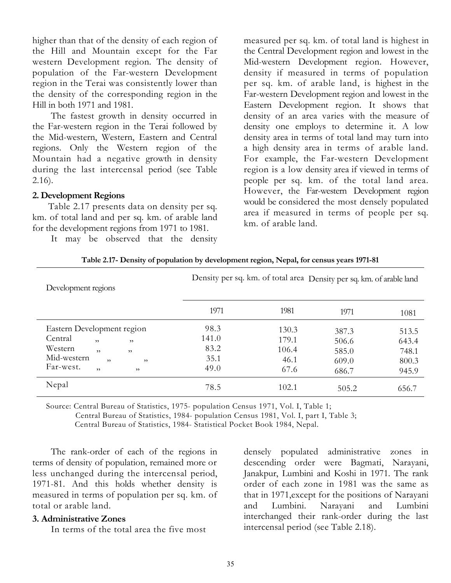higher than that of the density of each region of the Hill and Mountain except for the Far western Development region. The density of population of the Far-western Development region in the Terai was consistently lower than the density of the corresponding region in the Hill in both 1971 and 1981.

The fastest growth in density occurred in the Far-western region in the Terai followed by the Mid-western, Western, Eastern and Central regions. Only the Western region of the Mountain had a negative growth in density during the last intercensal period (see Table 2.16).

#### 2. Development Regions

Table 2.17 presents data on density per sq. km. of total land and per sq. km. of arable land for the development regions from 1971 to 1981.

It may be observed that the density

measured per sq. km. of total land is highest in the Central Development region and lowest in the Mid-western Development region. However, density if measured in terms of population per sq. km. of arable land, is highest in the Far-western Development region and lowest in the Eastern Development region. It shows that density of an area varies with the measure of density one employs to determine it. A low density area in terms of total land may turn into a high density area in terms of arable land. For example, the Far-western Development region is a low density area if viewed in terms of people per sq. km. of the total land area. However, the Far-western Development region would be considered the most densely populated area if measured in terms of people per sq. km. of arable land.

| Development regions        |       | Density per sq. km. of total area Density per sq. km. of arable land |       |       |
|----------------------------|-------|----------------------------------------------------------------------|-------|-------|
|                            | 1971  | 1981                                                                 | 1971  | 1081  |
| Eastern Development region | 98.3  | 130.3                                                                | 387.3 | 513.5 |
| Central<br>,<br>, ,        | 141.0 | 179.1                                                                | 506.6 | 643.4 |
| Western<br>, ,<br>, ,      | 83.2  | 106.4                                                                | 585.0 | 748.1 |
| Mid-western<br>,<br>, ,    | 35.1  | 46.1                                                                 | 609.0 | 800.3 |
| Far-west.<br>,<br>, 2, 3   | 49.0  | 67.6                                                                 | 686.7 | 945.9 |
| Nepal                      | 78.5  | 102.1                                                                | 505.2 | 656.7 |

|  | Table 2.17- Density of population by development region, Nepal, for census years 1971-81 |
|--|------------------------------------------------------------------------------------------|
|  |                                                                                          |

Source: Central Bureau of Statistics, 1975- population Census 1971, Vol. I, Table 1;

Central Bureau of Statistics, 1984- population Census 1981, Vol. I, part I, Table 3;

Central Bureau of Statistics, 1984- Statistical Pocket Book 1984, Nepal.

The rank-order of each of the regions in terms of density of population, remained more or less unchanged during the intercensal period, 1971-81. And this holds whether density is measured in terms of population per sq. km. of total or arable land.

### 3. Administrative Zones

In terms of the total area the five most

densely populated administrative zones in descending order were Bagmati, Narayani, Janakpur, Lumbini and Koshi in 1971. The rank order of each zone in 1981 was the same as that in 1971,except for the positions of Narayani and Lumbini. Narayani and Lumbini interchanged their rank-order during the last intercensal period (see Table 2.18).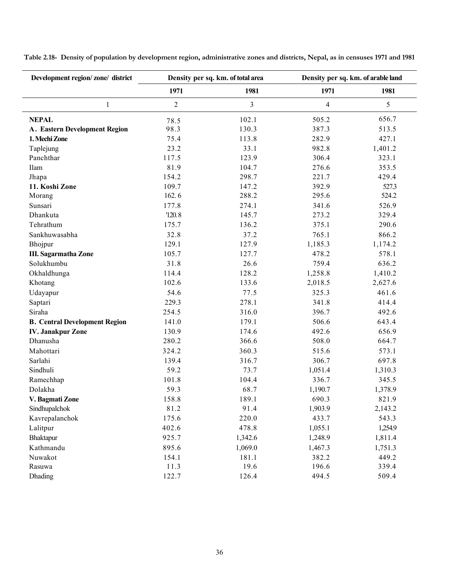| Development region/zone/district     |                | Density per sq. km. of total area | Density per sq. km. of arable land |         |  |
|--------------------------------------|----------------|-----------------------------------|------------------------------------|---------|--|
|                                      | 1971           | 1981                              | 1971                               | 1981    |  |
| $\mathbf{1}$                         | $\overline{2}$ | $\overline{3}$                    | 4                                  | 5       |  |
| <b>NEPAL</b>                         | 78.5           | 102.1                             | 505.2                              | 656.7   |  |
| <b>A. Eastern Development Region</b> | 98.3           | 130.3                             | 387.3                              | 513.5   |  |
| 1. Mechi Zone                        | 75.4           | 113.8                             | 282.9                              | 427.1   |  |
| Taplejung                            | 23.2           | 33.1                              | 982.8                              | 1,401.2 |  |
| Panchthar                            | 117.5          | 123.9                             | 306.4                              | 323.1   |  |
| Ilam                                 | 81.9           | 104.7                             | 276.6                              | 353.5   |  |
| Jhapa                                | 154.2          | 298.7                             | 221.7                              | 429.4   |  |
| 11. Koshi Zone                       | 109.7          | 147.2                             | 392.9                              | 527.3   |  |
| Morang                               | 162.6          | 288.2                             | 295.6                              | 524.2   |  |
| Sunsari                              | 177.8          | 274.1                             | 341.6                              | 526.9   |  |
| Dhankuta                             | '120.8         | 145.7                             | 273.2                              | 329.4   |  |
| Tehrathum                            | 175.7          | 136.2                             | 375.1                              | 290.6   |  |
| Sankhuwasabha                        | 32.8           | 37.2                              | 765.1                              | 866.2   |  |
| Bhojpur                              | 129.1          | 127.9                             | 1,185.3                            | 1,174.2 |  |
| III. Sagarmatha Zone                 | 105.7          | 127.7                             | 478.2                              | 578.1   |  |
| Solukhumbu                           | 31.8           | 26.6                              | 759.4                              | 636.2   |  |
| Okhaldhunga                          | 114.4          | 128.2                             | 1,258.8                            | 1,410.2 |  |
| Khotang                              | 102.6          | 133.6                             | 2,018.5                            | 2,627.6 |  |
| Udayapur                             | 54.6           | 77.5                              | 325.3                              | 461.6   |  |
| Saptari                              | 229.3          | 278.1                             | 341.8                              | 414.4   |  |
| Siraha                               | 254.5          | 316.0                             | 396.7                              | 492.6   |  |
| <b>B.</b> Central Development Region | 141.0          | 179.1                             | 506.6                              | 643.4   |  |
| <b>IV. Janakpur Zone</b>             | 130.9          | 174.6                             | 492.6                              | 656.9   |  |
| Dhanusha                             | 280.2          | 366.6                             | 508.0                              | 664.7   |  |
| Mahottari                            | 324.2          | 360.3                             | 515.6                              | 573.1   |  |
| Sarlahi                              | 139.4          | 316.7                             | 306.7                              | 697.8   |  |
| Sindhuli                             | 59.2           | 73.7                              | 1,051.4                            | 1,310.3 |  |
| Ramechhap                            | 101.8          | 104.4                             | 336.7                              | 345.5   |  |
| Dolakha                              | 59.3           | 68.7                              | 1,190.7                            | 1,378.9 |  |
| V. Bagmati Zone                      | 158.8          | 189.1                             | 690.3                              | 821.9   |  |
| Sindhupalchok                        | 81.2           | 91.4                              | 1,903.9                            | 2,143.2 |  |
| Kavrepalanchok                       | 175.6          | 220.0                             | 433.7                              | 543.3   |  |
| Lalitpur                             | 402.6          | 478.8                             | 1,055.1                            | 1,254.9 |  |
| Bhaktapur                            | 925.7          | 1,342.6                           | 1,248.9                            | 1,811.4 |  |
| Kathmandu                            | 895.6          | 1,069.0                           | 1,467.3                            | 1,751.3 |  |
| Nuwakot                              | 154.1          | 181.1                             | 382.2                              | 449.2   |  |
| Rasuwa                               | 11.3           | 19.6                              | 196.6                              | 339.4   |  |
| Dhading                              | 122.7          | 126.4                             | 494.5                              | 509.4   |  |

Table 2.18- Density of population by development region, administrative zones and districts, Nepal, as in censuses 1971 and 1981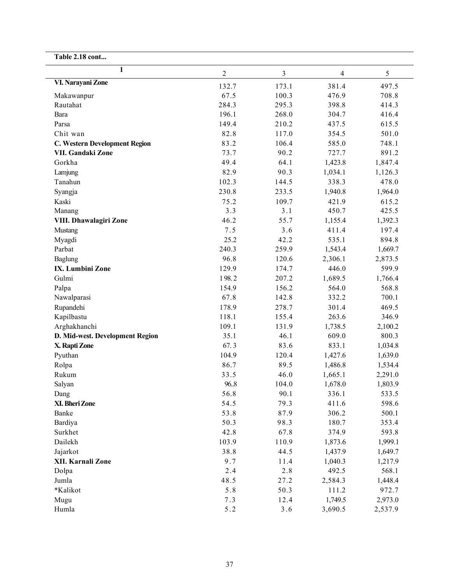| $\mathbf{1}$                    | $\overline{2}$ | $\mathfrak{Z}$ | $\overline{4}$ | 5       |
|---------------------------------|----------------|----------------|----------------|---------|
| VI. Narayani Zone               | 132.7          | 173.1          | 381.4          | 497.5   |
| Makawanpur                      | 67.5           | 100.3          | 476.9          | 708.8   |
| Rautahat                        | 284.3          | 295.3          | 398.8          | 414.3   |
| Bara                            | 196.1          | 268.0          | 304.7          | 416.4   |
| Parsa                           | 149.4          | 210.2          | 437.5          | 615.5   |
| Chit wan                        | 82.8           | 117.0          | 354.5          | 501.0   |
| C. Western Development Region   | 83.2           | 106.4          | 585.0          | 748.1   |
| VII. Gandaki Zone               | 73.7           | 90.2           | 727.7          | 891.2   |
| Gorkha                          | 49.4           | 64.1           | 1,423.8        | 1,847.4 |
| Lamjung                         | 82.9           | 90.3           | 1,034.1        | 1,126.3 |
| Tanahun                         | 102.3          | 144.5          | 338.3          | 478.0   |
| Syangja                         | 230.8          | 233.5          | 1,940.8        | 1,964.0 |
| Kaski                           | 75.2           | 109.7          | 421.9          | 615.2   |
| Manang                          | 3.3            | 3.1            | 450.7          | 425.5   |
| VIII. Dhawalagiri Zone          | 46.2           | 55.7           | 1,155.4        | 1,392.3 |
| Mustang                         | 7.5            | 3.6            | 411.4          | 197.4   |
| Myagdi                          | 25.2           | 42.2           | 535.1          | 894.8   |
| Parbat                          | 240.3          | 259.9          | 1,543.4        | 1,669.7 |
| Baglung                         | 96.8           | 120.6          | 2,306.1        | 2,873.5 |
| IX. Lumbini Zone                | 129.9          | 174.7          | 446.0          | 599.9   |
| Gulmi                           | 198.2          | 207.2          | 1,689.5        | 1,766.4 |
| Palpa                           | 154.9          | 156.2          | 564.0          | 568.8   |
| Nawalparasi                     | 67.8           | 142.8          | 332.2          | 700.1   |
| Rupandehi                       | 178.9          | 278.7          | 301.4          | 469.5   |
| Kapilbastu                      | 118.1          | 155.4          | 263.6          | 346.9   |
| Arghakhanchi                    | 109.1          | 131.9          | 1,738.5        | 2,100.2 |
| D. Mid-west. Development Region | 35.1           | 46.1           | 609.0          | 800.3   |
| X. Rapti Zone                   | 67.3           | 83.6           | 833.1          | 1,034.8 |
| Pyuthan                         | 104.9          | 120.4          | 1,427.6        | 1,639.0 |
| Rolpa                           | 86.7           | 89.5           | 1,486.8        | 1,534.4 |
| Rukum                           | 33.5           | 46.0           | 1,665.1        | 2,291.0 |
| Salyan                          | 96.8           | 104.0          | 1,678.0        | 1,803.9 |
| Dang                            | 56.8           | 90.1           | 336.1          | 533.5   |
| XI. Bheri Zone                  | 54.5           | 79.3           | 411.6          | 598.6   |
| Banke                           | 53.8           | 87.9           | 306.2          | 500.1   |
| Bardiya                         | 50.3           | 98.3           | 180.7          | 353.4   |
| Surkhet                         | 42.8           | 67.8           | 374.9          | 593.8   |
| Dailekh                         | 103.9          | 110.9          | 1,873.6        | 1,999.1 |
| Jajarkot                        | 38.8           | 44.5           | 1,437.9        | 1,649.7 |
| XII. Karnali Zone               | 9.7            | 11.4           | 1,040.3        | 1,217.9 |
| Dolpa                           | 2.4            | 2.8            | 492.5          | 568.1   |
| Jumla                           | 48.5           | 27.2           | 2,584.3        | 1,448.4 |
| *Kalikot                        | 5.8            | 50.3           | 111.2          | 972.7   |
| Mugu                            | 7.3            | 12.4           | 1,749.5        | 2,973.0 |
| Humla                           | 5.2            | $3.6$          | 3,690.5        | 2,537.9 |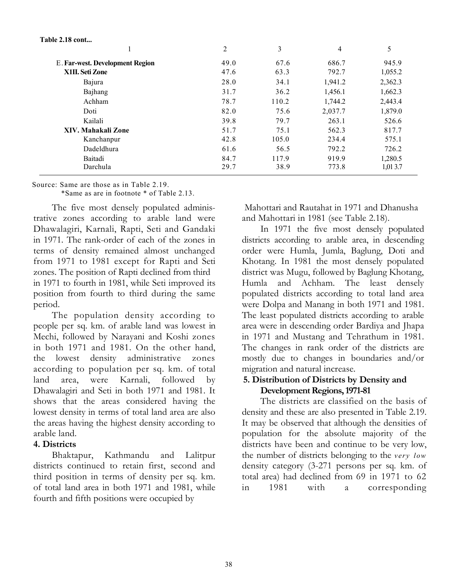Table 2.18 cont...

|                                        | 2    | 3     | 4       | 5       |
|----------------------------------------|------|-------|---------|---------|
| <b>E. Far-west. Development Region</b> | 49.0 | 67.6  | 686.7   | 945.9   |
| X1II. Seti Zone                        | 47.6 | 63.3  | 792.7   | 1,055.2 |
| Bajura                                 | 28.0 | 34.1  | 1,941.2 | 2,362.3 |
| Bajhang                                | 31.7 | 36.2  | 1,456.1 | 1,662.3 |
| Achham                                 | 78.7 | 110.2 | 1,744.2 | 2,443.4 |
| Doti                                   | 82.0 | 75.6  | 2,037.7 | 1,879.0 |
| Kailali                                | 39.8 | 79.7  | 263.1   | 526.6   |
| XIV. Mahakali Zone                     | 51.7 | 75.1  | 562.3   | 817.7   |
| Kanchanpur                             | 42.8 | 105.0 | 234.4   | 575.1   |
| Dadeldhura                             | 61.6 | 56.5  | 792.2   | 726.2   |
| Baitadi                                | 84.7 | 117.9 | 919.9   | 1.280.5 |
| Darchula                               | 29.7 | 38.9  | 773.8   | 1,013.7 |

Source: Same are those as in Table 2.19.

\*Same as are in footnote \* of Table 2.13.

The five most densely populated administrative zones according to arable land were Dhawalagiri, Karnali, Rapti, Seti and Gandaki in 1971. The rank-order of each of the zones in terms of density remained almost unchanged from 1971 to 1981 except for Rapti and Seti zones. The position of Rapti declined from third in 1971 to fourth in 1981, while Seti improved its position from fourth to third during the same period.

The population density according to people per sq. km. of arable land was lowest in Mechi, followed by Narayani and Koshi zones in both 1971 and 1981. On the other hand, the lowest density administrative zones according to population per sq. km. of total land area, were Karnali, followed by Dhawalagiri and Seti in both 1971 and 1981. It shows that the areas considered having the lowest density in terms of total land area are also the areas having the highest density according to arable land.

### 4. Districts

Bhaktapur, Kathmandu and Lalitpur districts continued to retain first, second and third position in terms of density per sq. km. of total land area in both 1971 and 1981, while fourth and fifth positions were occupied by

Mahottari and Rautahat in 1971 and Dhanusha and Mahottari in 1981 (see Table 2.18).

In 1971 the five most densely populated districts according to arable area, in descending order were Humla, Jumla, Baglung, Doti and Khotang. In 1981 the most densely populated district was Mugu, followed by Baglung Khotang, Humla and Achham. The least densely populated districts according to total land area were Dolpa and Manang in both 1971 and 1981. The least populated districts according to arable area were in descending order Bardiya and Jhapa in 1971 and Mustang and Tehrathum in 1981. The changes in rank order of the districts are mostly due to changes in boundaries and/or migration and natural increase.

# 5. Distribution of Districts by Density and Development Regions, 1971-81

The districts are classified on the basis of density and these are also presented in Table 2.19. It may be observed that although the densities of population for the absolute majority of the districts have been and continue to be very low, the number of districts belonging to the very low density category (3-271 persons per sq. km. of total area) had declined from 69 in 1971 to 62 in 1981 with a corresponding